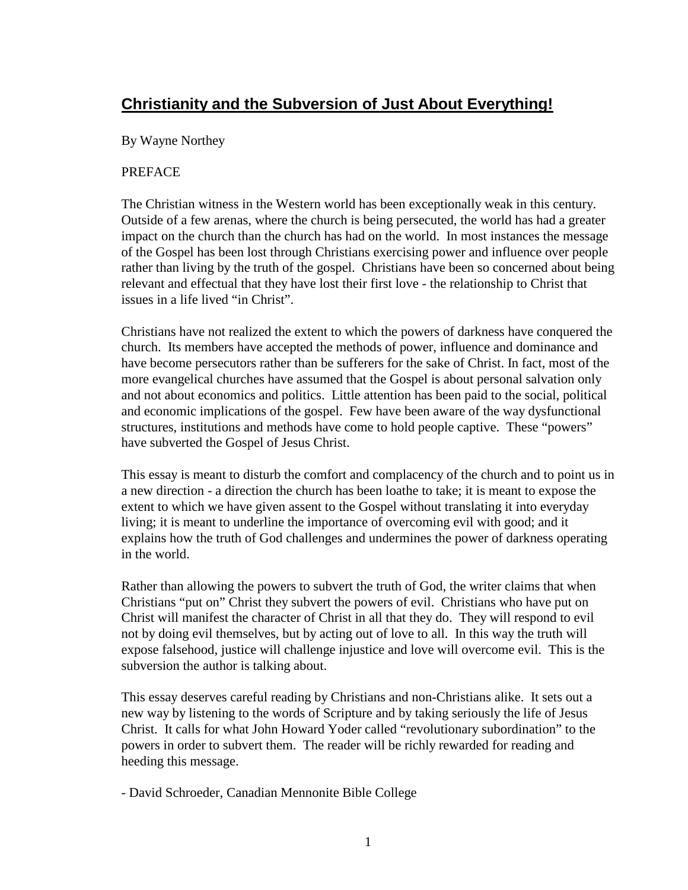# **Christianity and the Subversion of Just About Everything!**

By Wayne Northey

## PREFACE

The Christian witness in the Western world has been exceptionally weak in this century. Outside of a few arenas, where the church is being persecuted, the world has had a greater impact on the church than the church has had on the world. In most instances the message of the Gospel has been lost through Christians exercising power and influence over people rather than living by the truth of the gospel. Christians have been so concerned about being relevant and effectual that they have lost their first love - the relationship to Christ that issues in a life lived "in Christ".

Christians have not realized the extent to which the powers of darkness have conquered the church. Its members have accepted the methods of power, influence and dominance and have become persecutors rather than be sufferers for the sake of Christ. In fact, most of the more evangelical churches have assumed that the Gospel is about personal salvation only and not about economics and politics. Little attention has been paid to the social, political and economic implications of the gospel. Few have been aware of the way dysfunctional structures, institutions and methods have come to hold people captive. These "powers" have subverted the Gospel of Jesus Christ.

This essay is meant to disturb the comfort and complacency of the church and to point us in a new direction - a direction the church has been loathe to take; it is meant to expose the extent to which we have given assent to the Gospel without translating it into everyday living; it is meant to underline the importance of overcoming evil with good; and it explains how the truth of God challenges and undermines the power of darkness operating in the world.

Rather than allowing the powers to subvert the truth of God, the writer claims that when Christians "put on" Christ they subvert the powers of evil. Christians who have put on Christ will manifest the character of Christ in all that they do. They will respond to evil not by doing evil themselves, but by acting out of love to all. In this way the truth will expose falsehood, justice will challenge injustice and love will overcome evil. This is the subversion the author is talking about.

This essay deserves careful reading by Christians and non-Christians alike. It sets out a new way by listening to the words of Scripture and by taking seriously the life of Jesus Christ. It calls for what John Howard Yoder called "revolutionary subordination" to the powers in order to subvert them. The reader will be richly rewarded for reading and heeding this message.

- David Schroeder, Canadian Mennonite Bible College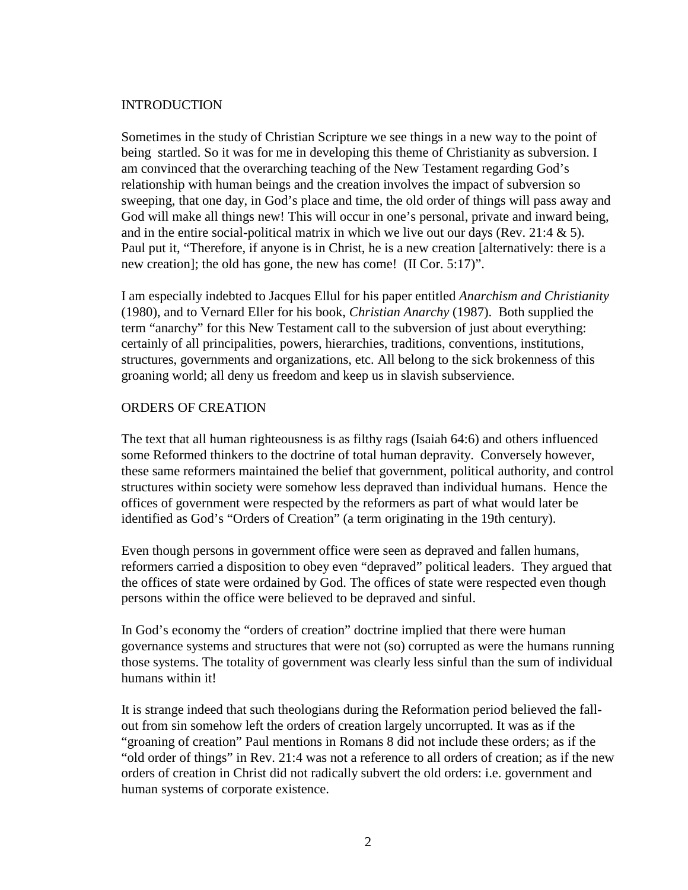#### **INTRODUCTION**

Sometimes in the study of Christian Scripture we see things in a new way to the point of being startled. So it was for me in developing this theme of Christianity as subversion. I am convinced that the overarching teaching of the New Testament regarding God's relationship with human beings and the creation involves the impact of subversion so sweeping, that one day, in God's place and time, the old order of things will pass away and God will make all things new! This will occur in one's personal, private and inward being, and in the entire social-political matrix in which we live out our days (Rev. 21:4  $\&$  5). Paul put it, "Therefore, if anyone is in Christ, he is a new creation [alternatively: there is a new creation]; the old has gone, the new has come! (II Cor. 5:17)".

I am especially indebted to Jacques Ellul for his paper entitled *Anarchism and Christianity* (1980), and to Vernard Eller for his book, *Christian Anarchy* (1987). Both supplied the term "anarchy" for this New Testament call to the subversion of just about everything: certainly of all principalities, powers, hierarchies, traditions, conventions, institutions, structures, governments and organizations, etc. All belong to the sick brokenness of this groaning world; all deny us freedom and keep us in slavish subservience.

## ORDERS OF CREATION

The text that all human righteousness is as filthy rags (Isaiah 64:6) and others influenced some Reformed thinkers to the doctrine of total human depravity. Conversely however, these same reformers maintained the belief that government, political authority, and control structures within society were somehow less depraved than individual humans. Hence the offices of government were respected by the reformers as part of what would later be identified as God's "Orders of Creation" (a term originating in the 19th century).

Even though persons in government office were seen as depraved and fallen humans, reformers carried a disposition to obey even "depraved" political leaders. They argued that the offices of state were ordained by God. The offices of state were respected even though persons within the office were believed to be depraved and sinful.

In God's economy the "orders of creation" doctrine implied that there were human governance systems and structures that were not (so) corrupted as were the humans running those systems. The totality of government was clearly less sinful than the sum of individual humans within it!

It is strange indeed that such theologians during the Reformation period believed the fallout from sin somehow left the orders of creation largely uncorrupted. It was as if the "groaning of creation" Paul mentions in Romans 8 did not include these orders; as if the "old order of things" in Rev. 21:4 was not a reference to all orders of creation; as if the new orders of creation in Christ did not radically subvert the old orders: i.e. government and human systems of corporate existence.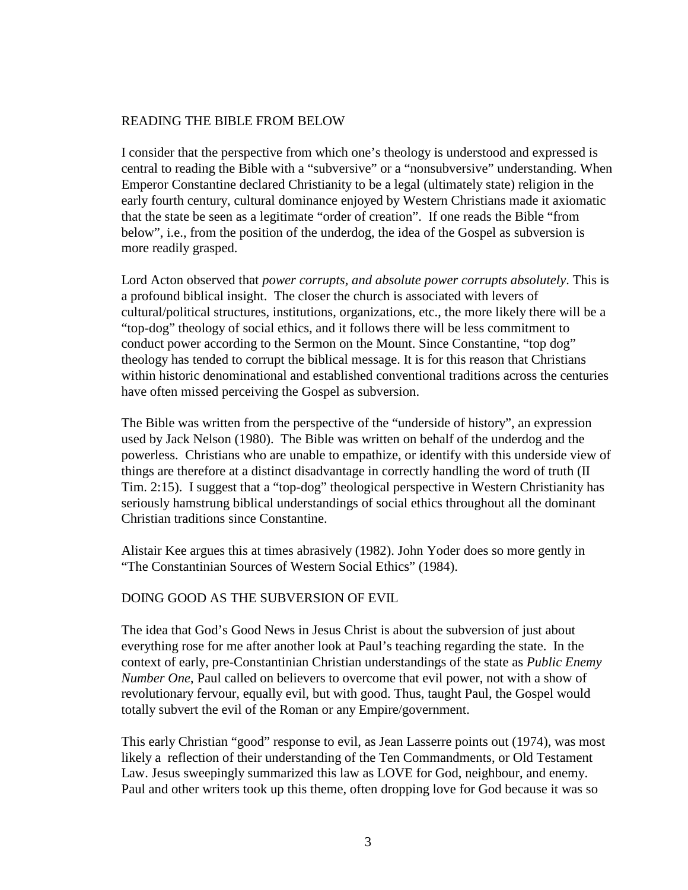## READING THE BIBLE FROM BELOW

I consider that the perspective from which one's theology is understood and expressed is central to reading the Bible with a "subversive" or a "nonsubversive" understanding. When Emperor Constantine declared Christianity to be a legal (ultimately state) religion in the early fourth century, cultural dominance enjoyed by Western Christians made it axiomatic that the state be seen as a legitimate "order of creation". If one reads the Bible "from below", i.e., from the position of the underdog, the idea of the Gospel as subversion is more readily grasped.

Lord Acton observed that *power corrupts, and absolute power corrupts absolutely*. This is a profound biblical insight. The closer the church is associated with levers of cultural/political structures, institutions, organizations, etc., the more likely there will be a "top-dog" theology of social ethics, and it follows there will be less commitment to conduct power according to the Sermon on the Mount. Since Constantine, "top dog" theology has tended to corrupt the biblical message. It is for this reason that Christians within historic denominational and established conventional traditions across the centuries have often missed perceiving the Gospel as subversion.

The Bible was written from the perspective of the "underside of history", an expression used by Jack Nelson (1980). The Bible was written on behalf of the underdog and the powerless. Christians who are unable to empathize, or identify with this underside view of things are therefore at a distinct disadvantage in correctly handling the word of truth (II Tim. 2:15). I suggest that a "top-dog" theological perspective in Western Christianity has seriously hamstrung biblical understandings of social ethics throughout all the dominant Christian traditions since Constantine.

Alistair Kee argues this at times abrasively (1982). John Yoder does so more gently in "The Constantinian Sources of Western Social Ethics" (1984).

### DOING GOOD AS THE SUBVERSION OF EVIL

The idea that God's Good News in Jesus Christ is about the subversion of just about everything rose for me after another look at Paul's teaching regarding the state. In the context of early, pre-Constantinian Christian understandings of the state as *Public Enemy Number One*, Paul called on believers to overcome that evil power, not with a show of revolutionary fervour, equally evil, but with good. Thus, taught Paul, the Gospel would totally subvert the evil of the Roman or any Empire/government.

This early Christian "good" response to evil, as Jean Lasserre points out (1974), was most likely a reflection of their understanding of the Ten Commandments, or Old Testament Law. Jesus sweepingly summarized this law as LOVE for God, neighbour, and enemy. Paul and other writers took up this theme, often dropping love for God because it was so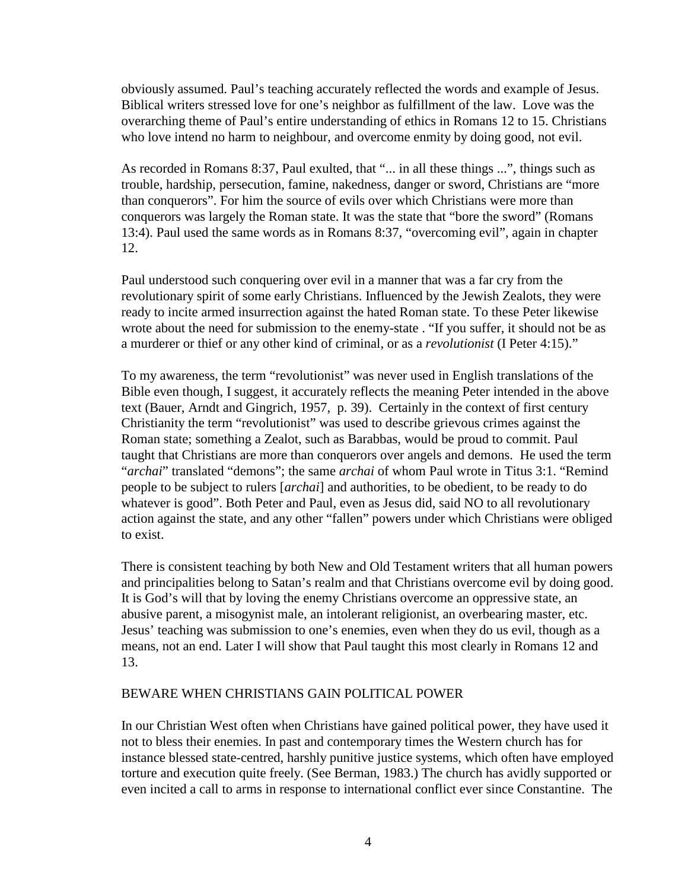obviously assumed. Paul's teaching accurately reflected the words and example of Jesus. Biblical writers stressed love for one's neighbor as fulfillment of the law. Love was the overarching theme of Paul's entire understanding of ethics in Romans 12 to 15. Christians who love intend no harm to neighbour, and overcome enmity by doing good, not evil.

As recorded in Romans 8:37, Paul exulted, that "... in all these things ...", things such as trouble, hardship, persecution, famine, nakedness, danger or sword, Christians are "more than conquerors". For him the source of evils over which Christians were more than conquerors was largely the Roman state. It was the state that "bore the sword" (Romans 13:4). Paul used the same words as in Romans 8:37, "overcoming evil", again in chapter 12.

Paul understood such conquering over evil in a manner that was a far cry from the revolutionary spirit of some early Christians. Influenced by the Jewish Zealots, they were ready to incite armed insurrection against the hated Roman state. To these Peter likewise wrote about the need for submission to the enemy-state . "If you suffer, it should not be as a murderer or thief or any other kind of criminal, or as a *revolutionist* (I Peter 4:15)."

To my awareness, the term "revolutionist" was never used in English translations of the Bible even though, I suggest, it accurately reflects the meaning Peter intended in the above text (Bauer, Arndt and Gingrich, 1957, p. 39). Certainly in the context of first century Christianity the term "revolutionist" was used to describe grievous crimes against the Roman state; something a Zealot, such as Barabbas, would be proud to commit. Paul taught that Christians are more than conquerors over angels and demons. He used the term "*archai*" translated "demons"; the same *archai* of whom Paul wrote in Titus 3:1. "Remind people to be subject to rulers [*archai*] and authorities, to be obedient, to be ready to do whatever is good". Both Peter and Paul, even as Jesus did, said NO to all revolutionary action against the state, and any other "fallen" powers under which Christians were obliged to exist.

There is consistent teaching by both New and Old Testament writers that all human powers and principalities belong to Satan's realm and that Christians overcome evil by doing good. It is God's will that by loving the enemy Christians overcome an oppressive state, an abusive parent, a misogynist male, an intolerant religionist, an overbearing master, etc. Jesus' teaching was submission to one's enemies, even when they do us evil, though as a means, not an end. Later I will show that Paul taught this most clearly in Romans 12 and 13.

## BEWARE WHEN CHRISTIANS GAIN POLITICAL POWER

In our Christian West often when Christians have gained political power, they have used it not to bless their enemies. In past and contemporary times the Western church has for instance blessed state-centred, harshly punitive justice systems, which often have employed torture and execution quite freely. (See Berman, 1983.) The church has avidly supported or even incited a call to arms in response to international conflict ever since Constantine. The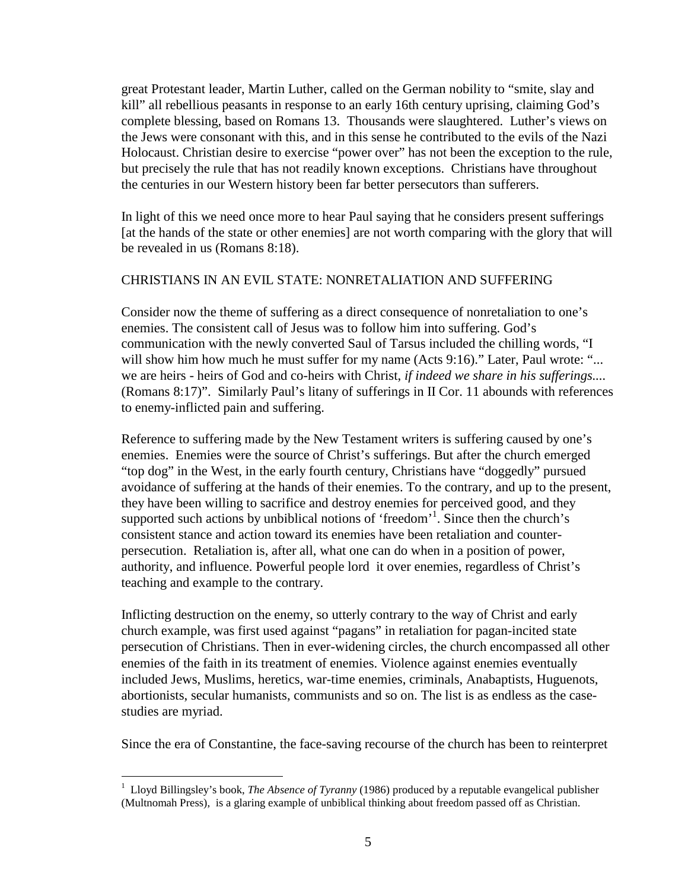great Protestant leader, Martin Luther, called on the German nobility to "smite, slay and kill" all rebellious peasants in response to an early 16th century uprising, claiming God's complete blessing, based on Romans 13. Thousands were slaughtered. Luther's views on the Jews were consonant with this, and in this sense he contributed to the evils of the Nazi Holocaust. Christian desire to exercise "power over" has not been the exception to the rule, but precisely the rule that has not readily known exceptions. Christians have throughout the centuries in our Western history been far better persecutors than sufferers.

In light of this we need once more to hear Paul saying that he considers present sufferings [at the hands of the state or other enemies] are not worth comparing with the glory that will be revealed in us (Romans 8:18).

# CHRISTIANS IN AN EVIL STATE: NONRETALIATION AND SUFFERING

Consider now the theme of suffering as a direct consequence of nonretaliation to one's enemies. The consistent call of Jesus was to follow him into suffering. God's communication with the newly converted Saul of Tarsus included the chilling words, "I will show him how much he must suffer for my name (Acts 9:16)." Later, Paul wrote: "... we are heirs - heirs of God and co-heirs with Christ, *if indeed we share in his sufferings....* (Romans 8:17)". Similarly Paul's litany of sufferings in II Cor. 11 abounds with references to enemy-inflicted pain and suffering.

Reference to suffering made by the New Testament writers is suffering caused by one's enemies. Enemies were the source of Christ's sufferings. But after the church emerged "top dog" in the West, in the early fourth century, Christians have "doggedly" pursued avoidance of suffering at the hands of their enemies. To the contrary, and up to the present, they have been willing to sacrifice and destroy enemies for perceived good, and they supported such actions by unbiblical notions of 'freedom'<sup>[1](#page-4-0)</sup>. Since then the church's consistent stance and action toward its enemies have been retaliation and counterpersecution. Retaliation is, after all, what one can do when in a position of power, authority, and influence. Powerful people lord it over enemies, regardless of Christ's teaching and example to the contrary.

Inflicting destruction on the enemy, so utterly contrary to the way of Christ and early church example, was first used against "pagans" in retaliation for pagan-incited state persecution of Christians. Then in ever-widening circles, the church encompassed all other enemies of the faith in its treatment of enemies. Violence against enemies eventually included Jews, Muslims, heretics, war-time enemies, criminals, Anabaptists, Huguenots, abortionists, secular humanists, communists and so on. The list is as endless as the casestudies are myriad.

Since the era of Constantine, the face-saving recourse of the church has been to reinterpret

<span id="page-4-0"></span><sup>1</sup> Lloyd Billingsley's book, *The Absence of Tyranny* (1986) produced by a reputable evangelical publisher (Multnomah Press), is a glaring example of unbiblical thinking about freedom passed off as Christian.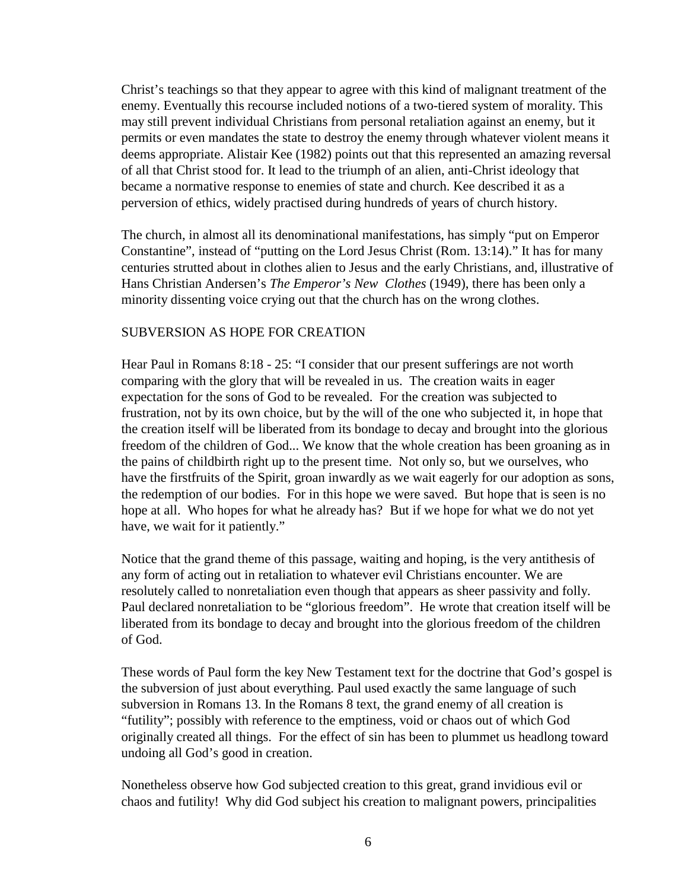Christ's teachings so that they appear to agree with this kind of malignant treatment of the enemy. Eventually this recourse included notions of a two-tiered system of morality. This may still prevent individual Christians from personal retaliation against an enemy, but it permits or even mandates the state to destroy the enemy through whatever violent means it deems appropriate. Alistair Kee (1982) points out that this represented an amazing reversal of all that Christ stood for. It lead to the triumph of an alien, anti-Christ ideology that became a normative response to enemies of state and church. Kee described it as a perversion of ethics, widely practised during hundreds of years of church history.

The church, in almost all its denominational manifestations, has simply "put on Emperor Constantine", instead of "putting on the Lord Jesus Christ (Rom. 13:14)." It has for many centuries strutted about in clothes alien to Jesus and the early Christians, and, illustrative of Hans Christian Andersen's *The Emperor's New Clothes* (1949), there has been only a minority dissenting voice crying out that the church has on the wrong clothes.

## SUBVERSION AS HOPE FOR CREATION

Hear Paul in Romans 8:18 - 25: "I consider that our present sufferings are not worth comparing with the glory that will be revealed in us. The creation waits in eager expectation for the sons of God to be revealed. For the creation was subjected to frustration, not by its own choice, but by the will of the one who subjected it, in hope that the creation itself will be liberated from its bondage to decay and brought into the glorious freedom of the children of God... We know that the whole creation has been groaning as in the pains of childbirth right up to the present time. Not only so, but we ourselves, who have the firstfruits of the Spirit, groan inwardly as we wait eagerly for our adoption as sons, the redemption of our bodies. For in this hope we were saved. But hope that is seen is no hope at all. Who hopes for what he already has? But if we hope for what we do not yet have, we wait for it patiently."

Notice that the grand theme of this passage, waiting and hoping, is the very antithesis of any form of acting out in retaliation to whatever evil Christians encounter. We are resolutely called to nonretaliation even though that appears as sheer passivity and folly. Paul declared nonretaliation to be "glorious freedom". He wrote that creation itself will be liberated from its bondage to decay and brought into the glorious freedom of the children of God.

These words of Paul form the key New Testament text for the doctrine that God's gospel is the subversion of just about everything. Paul used exactly the same language of such subversion in Romans 13. In the Romans 8 text, the grand enemy of all creation is "futility"; possibly with reference to the emptiness, void or chaos out of which God originally created all things. For the effect of sin has been to plummet us headlong toward undoing all God's good in creation.

Nonetheless observe how God subjected creation to this great, grand invidious evil or chaos and futility! Why did God subject his creation to malignant powers, principalities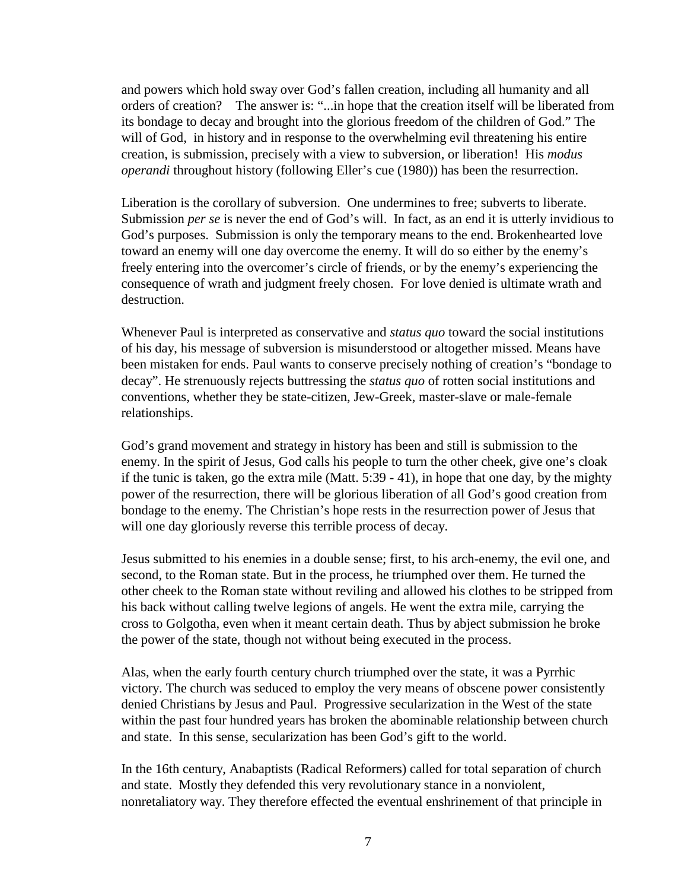and powers which hold sway over God's fallen creation, including all humanity and all orders of creation? The answer is: "...in hope that the creation itself will be liberated from its bondage to decay and brought into the glorious freedom of the children of God." The will of God, in history and in response to the overwhelming evil threatening his entire creation, is submission, precisely with a view to subversion, or liberation! His *modus operandi* throughout history (following Eller's cue (1980)) has been the resurrection.

Liberation is the corollary of subversion. One undermines to free; subverts to liberate. Submission *per se* is never the end of God's will. In fact, as an end it is utterly invidious to God's purposes. Submission is only the temporary means to the end. Brokenhearted love toward an enemy will one day overcome the enemy. It will do so either by the enemy's freely entering into the overcomer's circle of friends, or by the enemy's experiencing the consequence of wrath and judgment freely chosen. For love denied is ultimate wrath and destruction.

Whenever Paul is interpreted as conservative and *status quo* toward the social institutions of his day, his message of subversion is misunderstood or altogether missed. Means have been mistaken for ends. Paul wants to conserve precisely nothing of creation's "bondage to decay". He strenuously rejects buttressing the *status quo* of rotten social institutions and conventions, whether they be state-citizen, Jew-Greek, master-slave or male-female relationships.

God's grand movement and strategy in history has been and still is submission to the enemy. In the spirit of Jesus, God calls his people to turn the other cheek, give one's cloak if the tunic is taken, go the extra mile (Matt. 5:39 - 41), in hope that one day, by the mighty power of the resurrection, there will be glorious liberation of all God's good creation from bondage to the enemy. The Christian's hope rests in the resurrection power of Jesus that will one day gloriously reverse this terrible process of decay.

Jesus submitted to his enemies in a double sense; first, to his arch-enemy, the evil one, and second, to the Roman state. But in the process, he triumphed over them. He turned the other cheek to the Roman state without reviling and allowed his clothes to be stripped from his back without calling twelve legions of angels. He went the extra mile, carrying the cross to Golgotha, even when it meant certain death. Thus by abject submission he broke the power of the state, though not without being executed in the process.

Alas, when the early fourth century church triumphed over the state, it was a Pyrrhic victory. The church was seduced to employ the very means of obscene power consistently denied Christians by Jesus and Paul. Progressive secularization in the West of the state within the past four hundred years has broken the abominable relationship between church and state. In this sense, secularization has been God's gift to the world.

In the 16th century, Anabaptists (Radical Reformers) called for total separation of church and state. Mostly they defended this very revolutionary stance in a nonviolent, nonretaliatory way. They therefore effected the eventual enshrinement of that principle in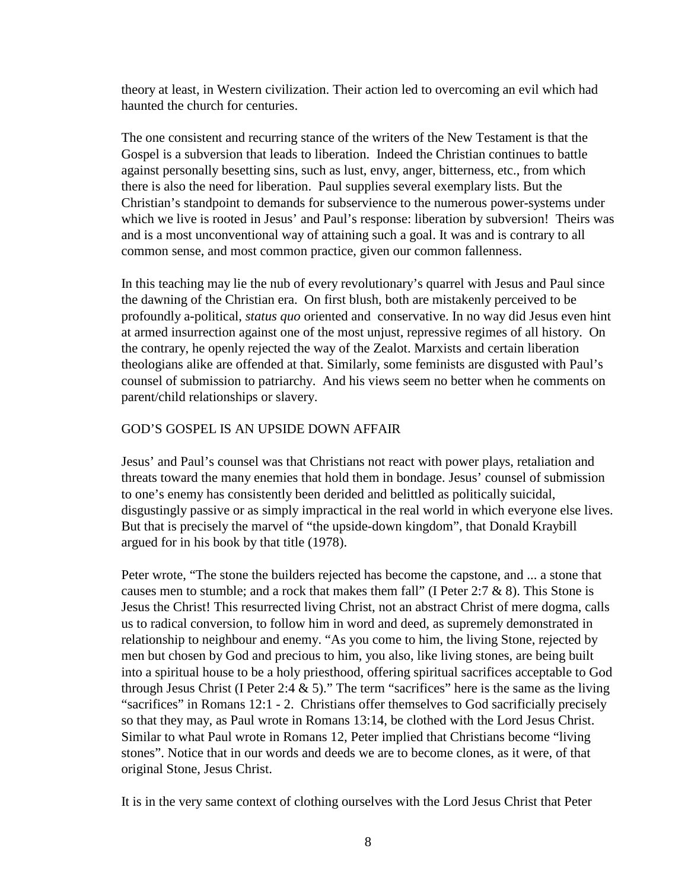theory at least, in Western civilization. Their action led to overcoming an evil which had haunted the church for centuries.

The one consistent and recurring stance of the writers of the New Testament is that the Gospel is a subversion that leads to liberation. Indeed the Christian continues to battle against personally besetting sins, such as lust, envy, anger, bitterness, etc., from which there is also the need for liberation. Paul supplies several exemplary lists. But the Christian's standpoint to demands for subservience to the numerous power-systems under which we live is rooted in Jesus' and Paul's response: liberation by subversion! Theirs was and is a most unconventional way of attaining such a goal. It was and is contrary to all common sense, and most common practice, given our common fallenness.

In this teaching may lie the nub of every revolutionary's quarrel with Jesus and Paul since the dawning of the Christian era. On first blush, both are mistakenly perceived to be profoundly a-political, *status quo* oriented and conservative. In no way did Jesus even hint at armed insurrection against one of the most unjust, repressive regimes of all history. On the contrary, he openly rejected the way of the Zealot. Marxists and certain liberation theologians alike are offended at that. Similarly, some feminists are disgusted with Paul's counsel of submission to patriarchy. And his views seem no better when he comments on parent/child relationships or slavery.

# GOD'S GOSPEL IS AN UPSIDE DOWN AFFAIR

Jesus' and Paul's counsel was that Christians not react with power plays, retaliation and threats toward the many enemies that hold them in bondage. Jesus' counsel of submission to one's enemy has consistently been derided and belittled as politically suicidal, disgustingly passive or as simply impractical in the real world in which everyone else lives. But that is precisely the marvel of "the upside-down kingdom", that Donald Kraybill argued for in his book by that title (1978).

Peter wrote, "The stone the builders rejected has become the capstone, and ... a stone that causes men to stumble; and a rock that makes them fall" (I Peter 2:7  $\&$  8). This Stone is Jesus the Christ! This resurrected living Christ, not an abstract Christ of mere dogma, calls us to radical conversion, to follow him in word and deed, as supremely demonstrated in relationship to neighbour and enemy. "As you come to him, the living Stone, rejected by men but chosen by God and precious to him, you also, like living stones, are being built into a spiritual house to be a holy priesthood, offering spiritual sacrifices acceptable to God through Jesus Christ (I Peter 2:4  $\&$  5)." The term "sacrifices" here is the same as the living "sacrifices" in Romans 12:1 - 2. Christians offer themselves to God sacrificially precisely so that they may, as Paul wrote in Romans 13:14, be clothed with the Lord Jesus Christ. Similar to what Paul wrote in Romans 12, Peter implied that Christians become "living stones". Notice that in our words and deeds we are to become clones, as it were, of that original Stone, Jesus Christ.

It is in the very same context of clothing ourselves with the Lord Jesus Christ that Peter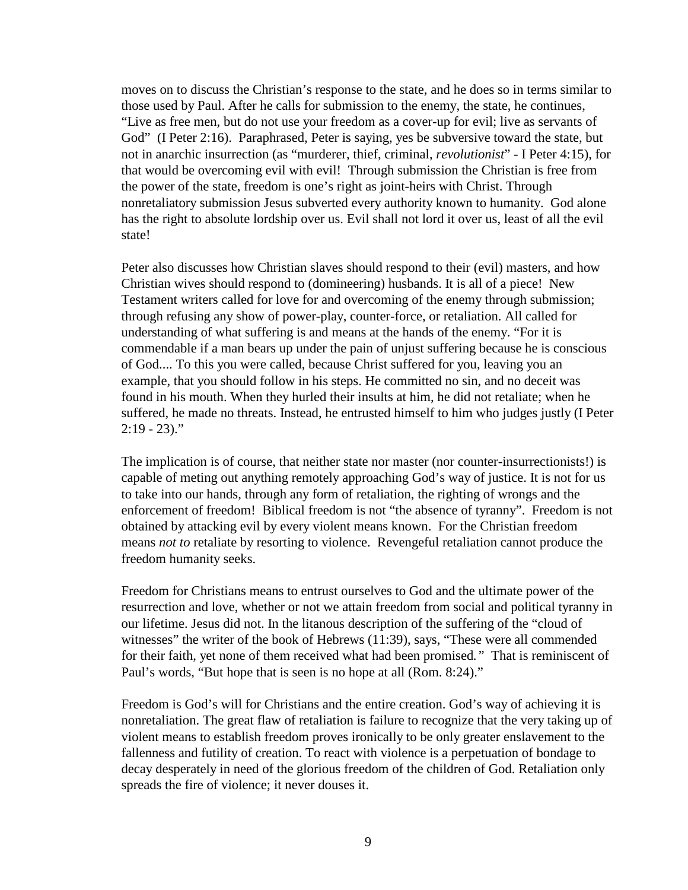moves on to discuss the Christian's response to the state, and he does so in terms similar to those used by Paul. After he calls for submission to the enemy, the state, he continues, "Live as free men, but do not use your freedom as a cover-up for evil; live as servants of God" (I Peter 2:16). Paraphrased, Peter is saying, yes be subversive toward the state, but not in anarchic insurrection (as "murderer, thief, criminal, *revolutionist*" - I Peter 4:15), for that would be overcoming evil with evil! Through submission the Christian is free from the power of the state, freedom is one's right as joint-heirs with Christ. Through nonretaliatory submission Jesus subverted every authority known to humanity. God alone has the right to absolute lordship over us. Evil shall not lord it over us, least of all the evil state!

Peter also discusses how Christian slaves should respond to their (evil) masters, and how Christian wives should respond to (domineering) husbands. It is all of a piece! New Testament writers called for love for and overcoming of the enemy through submission; through refusing any show of power-play, counter-force, or retaliation. All called for understanding of what suffering is and means at the hands of the enemy. "For it is commendable if a man bears up under the pain of unjust suffering because he is conscious of God.... To this you were called, because Christ suffered for you, leaving you an example, that you should follow in his steps. He committed no sin, and no deceit was found in his mouth. When they hurled their insults at him, he did not retaliate; when he suffered, he made no threats. Instead, he entrusted himself to him who judges justly (I Peter  $2:19 - 23$ )."

The implication is of course, that neither state nor master (nor counter-insurrectionists!) is capable of meting out anything remotely approaching God's way of justice. It is not for us to take into our hands, through any form of retaliation, the righting of wrongs and the enforcement of freedom! Biblical freedom is not "the absence of tyranny". Freedom is not obtained by attacking evil by every violent means known. For the Christian freedom means *not to* retaliate by resorting to violence. Revengeful retaliation cannot produce the freedom humanity seeks.

Freedom for Christians means to entrust ourselves to God and the ultimate power of the resurrection and love, whether or not we attain freedom from social and political tyranny in our lifetime. Jesus did not. In the litanous description of the suffering of the "cloud of witnesses" the writer of the book of Hebrews (11:39), says, "These were all commended for their faith, yet none of them received what had been promised*."* That is reminiscent of Paul's words, "But hope that is seen is no hope at all (Rom. 8:24)."

Freedom is God's will for Christians and the entire creation. God's way of achieving it is nonretaliation. The great flaw of retaliation is failure to recognize that the very taking up of violent means to establish freedom proves ironically to be only greater enslavement to the fallenness and futility of creation. To react with violence is a perpetuation of bondage to decay desperately in need of the glorious freedom of the children of God. Retaliation only spreads the fire of violence; it never douses it.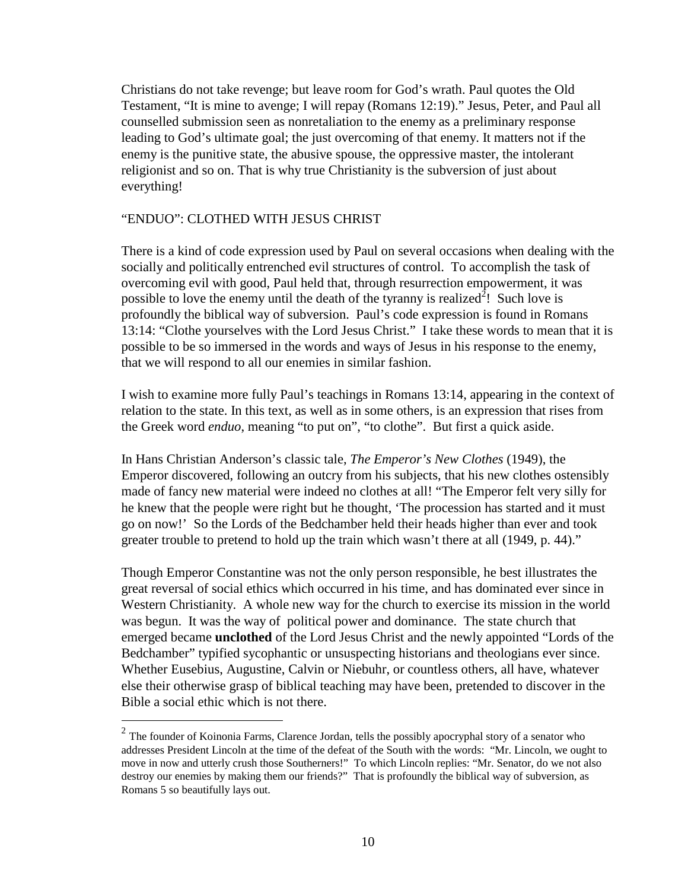Christians do not take revenge; but leave room for God's wrath. Paul quotes the Old Testament, "It is mine to avenge; I will repay (Romans 12:19)." Jesus, Peter, and Paul all counselled submission seen as nonretaliation to the enemy as a preliminary response leading to God's ultimate goal; the just overcoming of that enemy. It matters not if the enemy is the punitive state, the abusive spouse, the oppressive master, the intolerant religionist and so on. That is why true Christianity is the subversion of just about everything!

### "ENDUO": CLOTHED WITH JESUS CHRIST

There is a kind of code expression used by Paul on several occasions when dealing with the socially and politically entrenched evil structures of control. To accomplish the task of overcoming evil with good, Paul held that, through resurrection empowerment, it was possible to love the enemy until the death of the tyranny is realized<sup>[2](#page-9-0)</sup>! Such love is profoundly the biblical way of subversion. Paul's code expression is found in Romans 13:14: "Clothe yourselves with the Lord Jesus Christ." I take these words to mean that it is possible to be so immersed in the words and ways of Jesus in his response to the enemy, that we will respond to all our enemies in similar fashion.

I wish to examine more fully Paul's teachings in Romans 13:14, appearing in the context of relation to the state. In this text, as well as in some others, is an expression that rises from the Greek word *enduo*, meaning "to put on", "to clothe". But first a quick aside.

In Hans Christian Anderson's classic tale, *The Emperor's New Clothes* (1949), the Emperor discovered, following an outcry from his subjects, that his new clothes ostensibly made of fancy new material were indeed no clothes at all! "The Emperor felt very silly for he knew that the people were right but he thought, 'The procession has started and it must go on now!' So the Lords of the Bedchamber held their heads higher than ever and took greater trouble to pretend to hold up the train which wasn't there at all (1949, p. 44)."

Though Emperor Constantine was not the only person responsible, he best illustrates the great reversal of social ethics which occurred in his time, and has dominated ever since in Western Christianity. A whole new way for the church to exercise its mission in the world was begun. It was the way of political power and dominance. The state church that emerged became **unclothed** of the Lord Jesus Christ and the newly appointed "Lords of the Bedchamber" typified sycophantic or unsuspecting historians and theologians ever since. Whether Eusebius, Augustine, Calvin or Niebuhr, or countless others, all have, whatever else their otherwise grasp of biblical teaching may have been, pretended to discover in the Bible a social ethic which is not there.

<span id="page-9-0"></span> $2<sup>2</sup>$  The founder of Koinonia Farms, Clarence Jordan, tells the possibly apocryphal story of a senator who addresses President Lincoln at the time of the defeat of the South with the words: "Mr. Lincoln, we ought to move in now and utterly crush those Southerners!" To which Lincoln replies: "Mr. Senator, do we not also destroy our enemies by making them our friends?" That is profoundly the biblical way of subversion, as Romans 5 so beautifully lays out.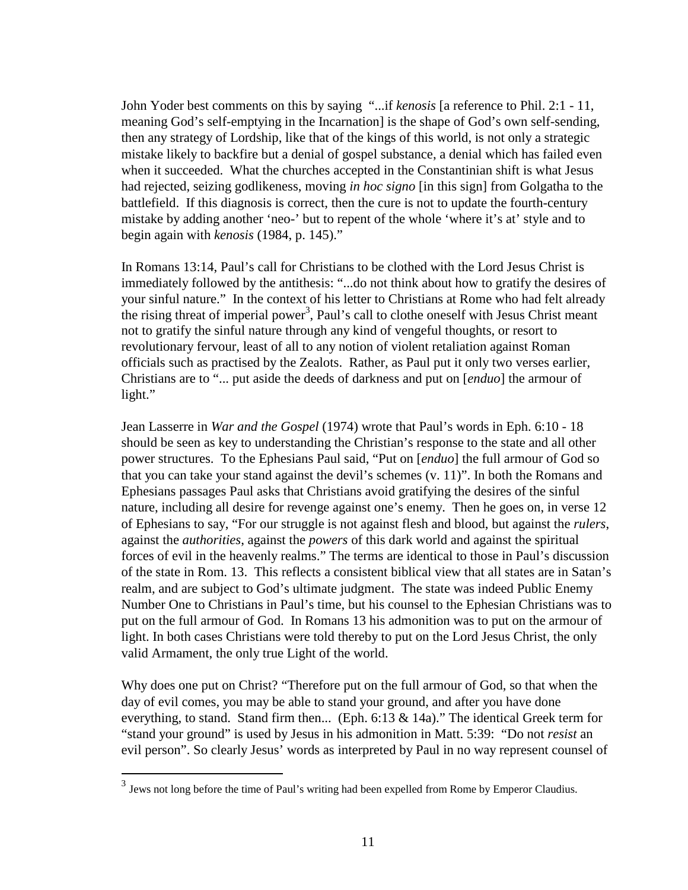John Yoder best comments on this by saying "...if *kenosis* [a reference to Phil. 2:1 - 11, meaning God's self-emptying in the Incarnation] is the shape of God's own self-sending, then any strategy of Lordship, like that of the kings of this world, is not only a strategic mistake likely to backfire but a denial of gospel substance, a denial which has failed even when it succeeded. What the churches accepted in the Constantinian shift is what Jesus had rejected, seizing godlikeness, moving *in hoc signo* [in this sign] from Golgatha to the battlefield. If this diagnosis is correct, then the cure is not to update the fourth-century mistake by adding another 'neo-' but to repent of the whole 'where it's at' style and to begin again with *kenosis* (1984, p. 145)."

In Romans 13:14, Paul's call for Christians to be clothed with the Lord Jesus Christ is immediately followed by the antithesis: "...do not think about how to gratify the desires of your sinful nature." In the context of his letter to Christians at Rome who had felt already the rising threat of imperial power<sup>[3](#page-10-0)</sup>, Paul's call to clothe oneself with Jesus Christ meant not to gratify the sinful nature through any kind of vengeful thoughts, or resort to revolutionary fervour, least of all to any notion of violent retaliation against Roman officials such as practised by the Zealots. Rather, as Paul put it only two verses earlier, Christians are to "... put aside the deeds of darkness and put on [*enduo*] the armour of light."

Jean Lasserre in *War and the Gospel* (1974) wrote that Paul's words in Eph. 6:10 - 18 should be seen as key to understanding the Christian's response to the state and all other power structures. To the Ephesians Paul said, "Put on [*enduo*] the full armour of God so that you can take your stand against the devil's schemes (v. 11)". In both the Romans and Ephesians passages Paul asks that Christians avoid gratifying the desires of the sinful nature, including all desire for revenge against one's enemy. Then he goes on, in verse 12 of Ephesians to say, "For our struggle is not against flesh and blood, but against the *rulers*, against the *authorities*, against the *powers* of this dark world and against the spiritual forces of evil in the heavenly realms." The terms are identical to those in Paul's discussion of the state in Rom. 13. This reflects a consistent biblical view that all states are in Satan's realm, and are subject to God's ultimate judgment. The state was indeed Public Enemy Number One to Christians in Paul's time, but his counsel to the Ephesian Christians was to put on the full armour of God. In Romans 13 his admonition was to put on the armour of light. In both cases Christians were told thereby to put on the Lord Jesus Christ, the only valid Armament, the only true Light of the world.

Why does one put on Christ? "Therefore put on the full armour of God, so that when the day of evil comes, you may be able to stand your ground, and after you have done everything, to stand. Stand firm then... (Eph. 6:13 & 14a)." The identical Greek term for "stand your ground" is used by Jesus in his admonition in Matt. 5:39: "Do not *resist* an evil person". So clearly Jesus' words as interpreted by Paul in no way represent counsel of

<span id="page-10-0"></span> $3$  Jews not long before the time of Paul's writing had been expelled from Rome by Emperor Claudius.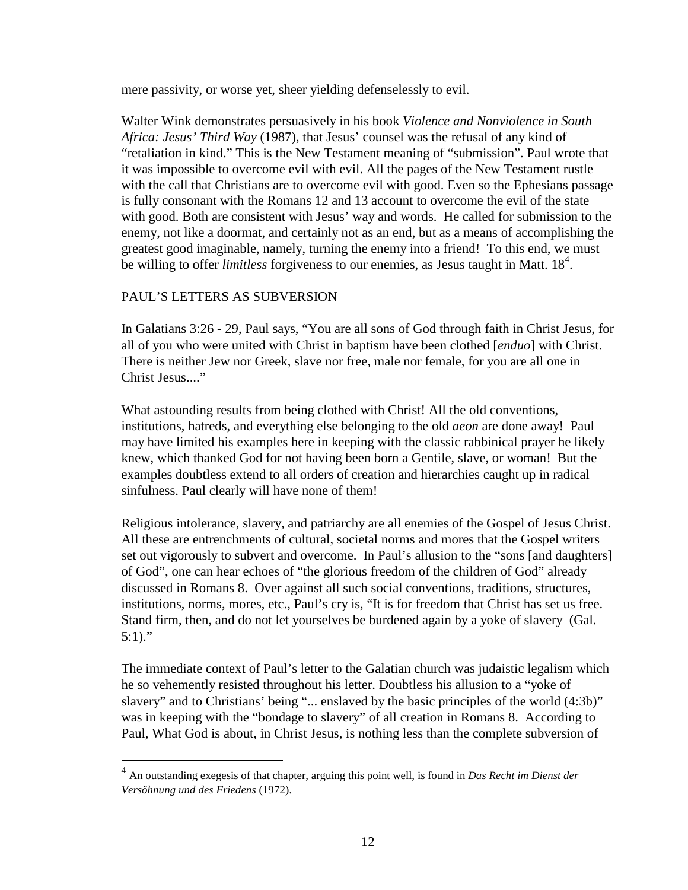mere passivity, or worse yet, sheer yielding defenselessly to evil.

Walter Wink demonstrates persuasively in his book *Violence and Nonviolence in South Africa: Jesus' Third Way* (1987), that Jesus' counsel was the refusal of any kind of "retaliation in kind." This is the New Testament meaning of "submission". Paul wrote that it was impossible to overcome evil with evil. All the pages of the New Testament rustle with the call that Christians are to overcome evil with good. Even so the Ephesians passage is fully consonant with the Romans 12 and 13 account to overcome the evil of the state with good. Both are consistent with Jesus' way and words. He called for submission to the enemy, not like a doormat, and certainly not as an end, but as a means of accomplishing the greatest good imaginable, namely, turning the enemy into a friend! To this end, we must bewilling to offer *limitless* forgiveness to our enemies, as Jesus taught in Matt. 18<sup>4</sup>.

# PAUL'S LETTERS AS SUBVERSION

In Galatians 3:26 - 29, Paul says, "You are all sons of God through faith in Christ Jesus, for all of you who were united with Christ in baptism have been clothed [*enduo*] with Christ. There is neither Jew nor Greek, slave nor free, male nor female, for you are all one in Christ Jesus...."

What astounding results from being clothed with Christ! All the old conventions, institutions, hatreds, and everything else belonging to the old *aeon* are done away! Paul may have limited his examples here in keeping with the classic rabbinical prayer he likely knew, which thanked God for not having been born a Gentile, slave, or woman! But the examples doubtless extend to all orders of creation and hierarchies caught up in radical sinfulness. Paul clearly will have none of them!

Religious intolerance, slavery, and patriarchy are all enemies of the Gospel of Jesus Christ. All these are entrenchments of cultural, societal norms and mores that the Gospel writers set out vigorously to subvert and overcome. In Paul's allusion to the "sons [and daughters] of God", one can hear echoes of "the glorious freedom of the children of God" already discussed in Romans 8. Over against all such social conventions, traditions, structures, institutions, norms, mores, etc., Paul's cry is, "It is for freedom that Christ has set us free. Stand firm, then, and do not let yourselves be burdened again by a yoke of slavery (Gal. 5:1)."

The immediate context of Paul's letter to the Galatian church was judaistic legalism which he so vehemently resisted throughout his letter. Doubtless his allusion to a "yoke of slavery" and to Christians' being "... enslaved by the basic principles of the world  $(4:3b)$ " was in keeping with the "bondage to slavery" of all creation in Romans 8. According to Paul, What God is about, in Christ Jesus, is nothing less than the complete subversion of

<span id="page-11-0"></span><sup>4</sup> An outstanding exegesis of that chapter, arguing this point well, is found in *Das Recht im Dienst der Versöhnung und des Friedens* (1972).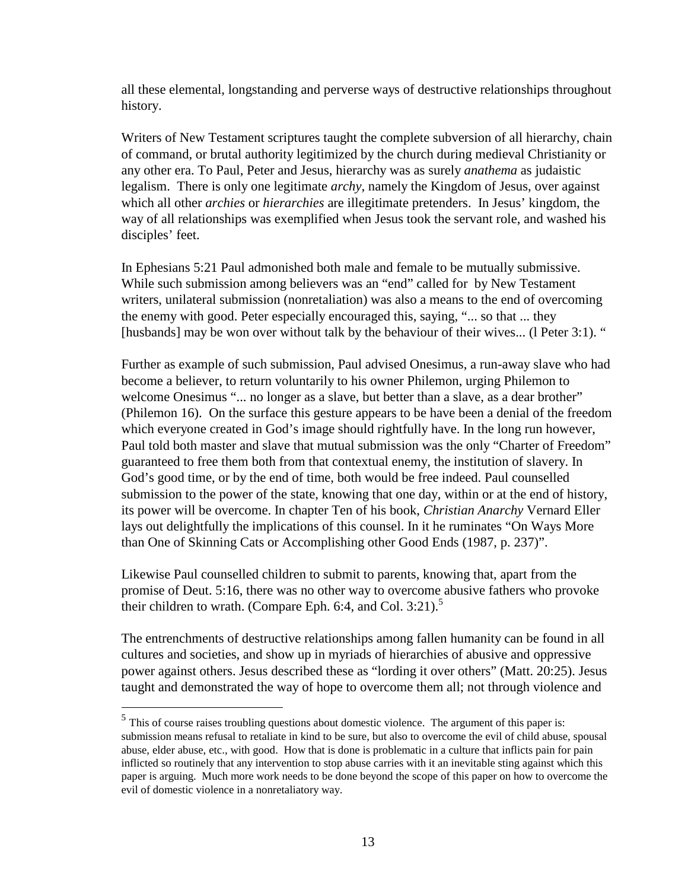all these elemental, longstanding and perverse ways of destructive relationships throughout history.

Writers of New Testament scriptures taught the complete subversion of all hierarchy, chain of command, or brutal authority legitimized by the church during medieval Christianity or any other era. To Paul, Peter and Jesus, hierarchy was as surely *anathema* as judaistic legalism. There is only one legitimate *archy*, namely the Kingdom of Jesus, over against which all other *archies* or *hierarchies* are illegitimate pretenders. In Jesus' kingdom, the way of all relationships was exemplified when Jesus took the servant role, and washed his disciples' feet.

In Ephesians 5:21 Paul admonished both male and female to be mutually submissive. While such submission among believers was an "end" called for by New Testament writers, unilateral submission (nonretaliation) was also a means to the end of overcoming the enemy with good. Peter especially encouraged this, saying, "... so that ... they [husbands] may be won over without talk by the behaviour of their wives... (1 Peter 3:1). "

Further as example of such submission, Paul advised Onesimus, a run-away slave who had become a believer, to return voluntarily to his owner Philemon, urging Philemon to welcome Onesimus "... no longer as a slave, but better than a slave, as a dear brother" (Philemon 16). On the surface this gesture appears to be have been a denial of the freedom which everyone created in God's image should rightfully have. In the long run however, Paul told both master and slave that mutual submission was the only "Charter of Freedom" guaranteed to free them both from that contextual enemy, the institution of slavery. In God's good time, or by the end of time, both would be free indeed. Paul counselled submission to the power of the state, knowing that one day, within or at the end of history, its power will be overcome. In chapter Ten of his book, *Christian Anarchy* Vernard Eller lays out delightfully the implications of this counsel. In it he ruminates "On Ways More than One of Skinning Cats or Accomplishing other Good Ends (1987, p. 237)".

Likewise Paul counselled children to submit to parents, knowing that, apart from the promise of Deut. 5:16, there was no other way to overcome abusive fathers who provoke their children to wrath. (Compare Eph. 6:4, and Col. 3:21).<sup>[5](#page-12-0)</sup>

The entrenchments of destructive relationships among fallen humanity can be found in all cultures and societies, and show up in myriads of hierarchies of abusive and oppressive power against others. Jesus described these as "lording it over others" (Matt. 20:25). Jesus taught and demonstrated the way of hope to overcome them all; not through violence and

<span id="page-12-0"></span> $<sup>5</sup>$  This of course raises troubling questions about domestic violence. The argument of this paper is:</sup> submission means refusal to retaliate in kind to be sure, but also to overcome the evil of child abuse, spousal abuse, elder abuse, etc., with good. How that is done is problematic in a culture that inflicts pain for pain inflicted so routinely that any intervention to stop abuse carries with it an inevitable sting against which this paper is arguing. Much more work needs to be done beyond the scope of this paper on how to overcome the evil of domestic violence in a nonretaliatory way.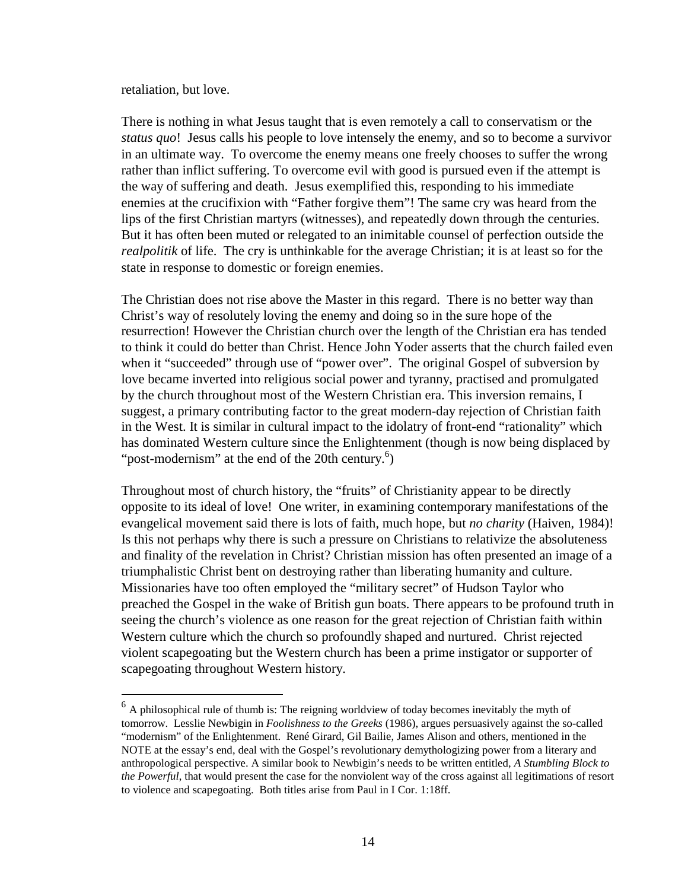retaliation, but love.

There is nothing in what Jesus taught that is even remotely a call to conservatism or the *status quo*! Jesus calls his people to love intensely the enemy, and so to become a survivor in an ultimate way. To overcome the enemy means one freely chooses to suffer the wrong rather than inflict suffering. To overcome evil with good is pursued even if the attempt is the way of suffering and death. Jesus exemplified this, responding to his immediate enemies at the crucifixion with "Father forgive them"! The same cry was heard from the lips of the first Christian martyrs (witnesses), and repeatedly down through the centuries. But it has often been muted or relegated to an inimitable counsel of perfection outside the *realpolitik* of life. The cry is unthinkable for the average Christian; it is at least so for the state in response to domestic or foreign enemies.

The Christian does not rise above the Master in this regard. There is no better way than Christ's way of resolutely loving the enemy and doing so in the sure hope of the resurrection! However the Christian church over the length of the Christian era has tended to think it could do better than Christ. Hence John Yoder asserts that the church failed even when it "succeeded" through use of "power over". The original Gospel of subversion by love became inverted into religious social power and tyranny, practised and promulgated by the church throughout most of the Western Christian era. This inversion remains, I suggest, a primary contributing factor to the great modern-day rejection of Christian faith in the West. It is similar in cultural impact to the idolatry of front-end "rationality" which has dominated Western culture since the Enlightenment (though is now being displaced by "post-modernism" at the end of the 20th century. $6$ )

Throughout most of church history, the "fruits" of Christianity appear to be directly opposite to its ideal of love! One writer, in examining contemporary manifestations of the evangelical movement said there is lots of faith, much hope, but *no charity* (Haiven, 1984)! Is this not perhaps why there is such a pressure on Christians to relativize the absoluteness and finality of the revelation in Christ? Christian mission has often presented an image of a triumphalistic Christ bent on destroying rather than liberating humanity and culture. Missionaries have too often employed the "military secret" of Hudson Taylor who preached the Gospel in the wake of British gun boats. There appears to be profound truth in seeing the church's violence as one reason for the great rejection of Christian faith within Western culture which the church so profoundly shaped and nurtured. Christ rejected violent scapegoating but the Western church has been a prime instigator or supporter of scapegoating throughout Western history.

<span id="page-13-0"></span> $<sup>6</sup>$  A philosophical rule of thumb is: The reigning worldview of today becomes inevitably the myth of</sup> tomorrow. Lesslie Newbigin in *Foolishness to the Greeks* (1986), argues persuasively against the so-called "modernism" of the Enlightenment. René Girard, Gil Bailie, James Alison and others, mentioned in the NOTE at the essay's end, deal with the Gospel's revolutionary demythologizing power from a literary and anthropological perspective. A similar book to Newbigin's needs to be written entitled, *A Stumbling Block to the Powerful*, that would present the case for the nonviolent way of the cross against all legitimations of resort to violence and scapegoating. Both titles arise from Paul in I Cor. 1:18ff.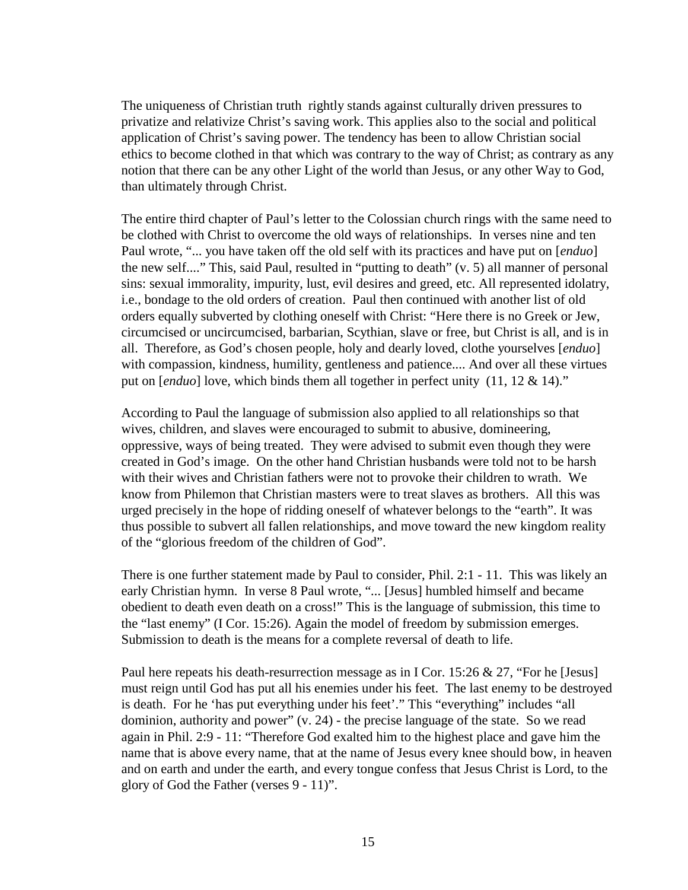The uniqueness of Christian truth rightly stands against culturally driven pressures to privatize and relativize Christ's saving work. This applies also to the social and political application of Christ's saving power. The tendency has been to allow Christian social ethics to become clothed in that which was contrary to the way of Christ; as contrary as any notion that there can be any other Light of the world than Jesus, or any other Way to God, than ultimately through Christ.

The entire third chapter of Paul's letter to the Colossian church rings with the same need to be clothed with Christ to overcome the old ways of relationships. In verses nine and ten Paul wrote, "... you have taken off the old self with its practices and have put on [*enduo*] the new self...." This, said Paul, resulted in "putting to death" (v. 5) all manner of personal sins: sexual immorality, impurity, lust, evil desires and greed, etc. All represented idolatry, i.e., bondage to the old orders of creation. Paul then continued with another list of old orders equally subverted by clothing oneself with Christ: "Here there is no Greek or Jew, circumcised or uncircumcised, barbarian, Scythian, slave or free, but Christ is all, and is in all. Therefore, as God's chosen people, holy and dearly loved, clothe yourselves [*enduo*] with compassion, kindness, humility, gentleness and patience.... And over all these virtues put on [*enduo*] love, which binds them all together in perfect unity (11, 12 & 14)."

According to Paul the language of submission also applied to all relationships so that wives, children, and slaves were encouraged to submit to abusive, domineering, oppressive, ways of being treated. They were advised to submit even though they were created in God's image. On the other hand Christian husbands were told not to be harsh with their wives and Christian fathers were not to provoke their children to wrath. We know from Philemon that Christian masters were to treat slaves as brothers. All this was urged precisely in the hope of ridding oneself of whatever belongs to the "earth". It was thus possible to subvert all fallen relationships, and move toward the new kingdom reality of the "glorious freedom of the children of God".

There is one further statement made by Paul to consider, Phil. 2:1 - 11. This was likely an early Christian hymn. In verse 8 Paul wrote, "*...* [Jesus] humbled himself and became obedient to death even death on a cross!" This is the language of submission, this time to the "last enemy" (I Cor. 15:26). Again the model of freedom by submission emerges. Submission to death is the means for a complete reversal of death to life.

Paul here repeats his death-resurrection message as in I Cor. 15:26 & 27, "For he [Jesus] must reign until God has put all his enemies under his feet. The last enemy to be destroyed is death. For he 'has put everything under his feet'." This "everything" includes "all dominion, authority and power" (v. 24) - the precise language of the state. So we read again in Phil. 2:9 - 11: "Therefore God exalted him to the highest place and gave him the name that is above every name, that at the name of Jesus every knee should bow, in heaven and on earth and under the earth, and every tongue confess that Jesus Christ is Lord, to the glory of God the Father (verses 9 - 11)".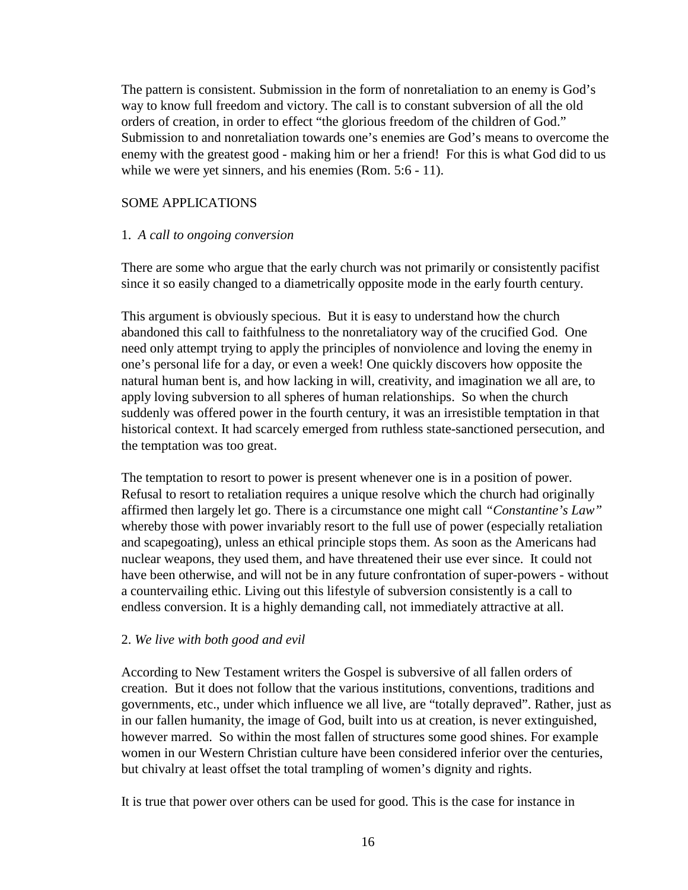The pattern is consistent. Submission in the form of nonretaliation to an enemy is God's way to know full freedom and victory. The call is to constant subversion of all the old orders of creation, in order to effect "the glorious freedom of the children of God." Submission to and nonretaliation towards one's enemies are God's means to overcome the enemy with the greatest good - making him or her a friend! For this is what God did to us while we were yet sinners, and his enemies (Rom. 5:6 - 11).

## SOME APPLICATIONS

## 1. *A call to ongoing conversion*

There are some who argue that the early church was not primarily or consistently pacifist since it so easily changed to a diametrically opposite mode in the early fourth century.

This argument is obviously specious. But it is easy to understand how the church abandoned this call to faithfulness to the nonretaliatory way of the crucified God. One need only attempt trying to apply the principles of nonviolence and loving the enemy in one's personal life for a day, or even a week! One quickly discovers how opposite the natural human bent is, and how lacking in will, creativity, and imagination we all are, to apply loving subversion to all spheres of human relationships. So when the church suddenly was offered power in the fourth century, it was an irresistible temptation in that historical context. It had scarcely emerged from ruthless state-sanctioned persecution, and the temptation was too great.

The temptation to resort to power is present whenever one is in a position of power. Refusal to resort to retaliation requires a unique resolve which the church had originally affirmed then largely let go. There is a circumstance one might call *"Constantine's Law"* whereby those with power invariably resort to the full use of power (especially retaliation and scapegoating), unless an ethical principle stops them. As soon as the Americans had nuclear weapons, they used them, and have threatened their use ever since. It could not have been otherwise, and will not be in any future confrontation of super-powers - without a countervailing ethic. Living out this lifestyle of subversion consistently is a call to endless conversion. It is a highly demanding call, not immediately attractive at all.

## 2. *We live with both good and evil*

According to New Testament writers the Gospel is subversive of all fallen orders of creation. But it does not follow that the various institutions, conventions, traditions and governments, etc., under which influence we all live, are "totally depraved". Rather, just as in our fallen humanity, the image of God, built into us at creation, is never extinguished, however marred. So within the most fallen of structures some good shines. For example women in our Western Christian culture have been considered inferior over the centuries, but chivalry at least offset the total trampling of women's dignity and rights.

It is true that power over others can be used for good. This is the case for instance in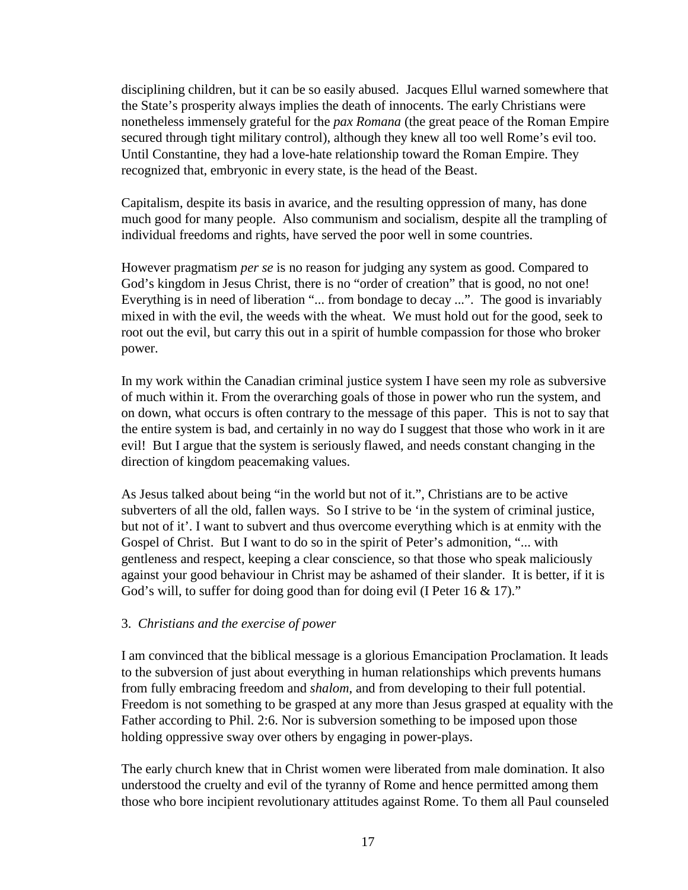disciplining children, but it can be so easily abused. Jacques Ellul warned somewhere that the State's prosperity always implies the death of innocents. The early Christians were nonetheless immensely grateful for the *pax Romana* (the great peace of the Roman Empire secured through tight military control), although they knew all too well Rome's evil too. Until Constantine, they had a love-hate relationship toward the Roman Empire. They recognized that, embryonic in every state, is the head of the Beast.

Capitalism, despite its basis in avarice, and the resulting oppression of many, has done much good for many people. Also communism and socialism, despite all the trampling of individual freedoms and rights, have served the poor well in some countries.

However pragmatism *per se* is no reason for judging any system as good. Compared to God's kingdom in Jesus Christ, there is no "order of creation" that is good, no not one! Everything is in need of liberation "... from bondage to decay ...". The good is invariably mixed in with the evil, the weeds with the wheat. We must hold out for the good, seek to root out the evil, but carry this out in a spirit of humble compassion for those who broker power.

In my work within the Canadian criminal justice system I have seen my role as subversive of much within it. From the overarching goals of those in power who run the system, and on down, what occurs is often contrary to the message of this paper. This is not to say that the entire system is bad, and certainly in no way do I suggest that those who work in it are evil! But I argue that the system is seriously flawed, and needs constant changing in the direction of kingdom peacemaking values.

As Jesus talked about being "in the world but not of it.", Christians are to be active subverters of all the old, fallen ways. So I strive to be 'in the system of criminal justice, but not of it'. I want to subvert and thus overcome everything which is at enmity with the Gospel of Christ. But I want to do so in the spirit of Peter's admonition, "... with gentleness and respect, keeping a clear conscience, so that those who speak maliciously against your good behaviour in Christ may be ashamed of their slander. It is better, if it is God's will, to suffer for doing good than for doing evil (I Peter 16 & 17)."

## 3. *Christians and the exercise of power*

I am convinced that the biblical message is a glorious Emancipation Proclamation. It leads to the subversion of just about everything in human relationships which prevents humans from fully embracing freedom and *shalom*, and from developing to their full potential. Freedom is not something to be grasped at any more than Jesus grasped at equality with the Father according to Phil. 2:6. Nor is subversion something to be imposed upon those holding oppressive sway over others by engaging in power-plays.

The early church knew that in Christ women were liberated from male domination. It also understood the cruelty and evil of the tyranny of Rome and hence permitted among them those who bore incipient revolutionary attitudes against Rome. To them all Paul counseled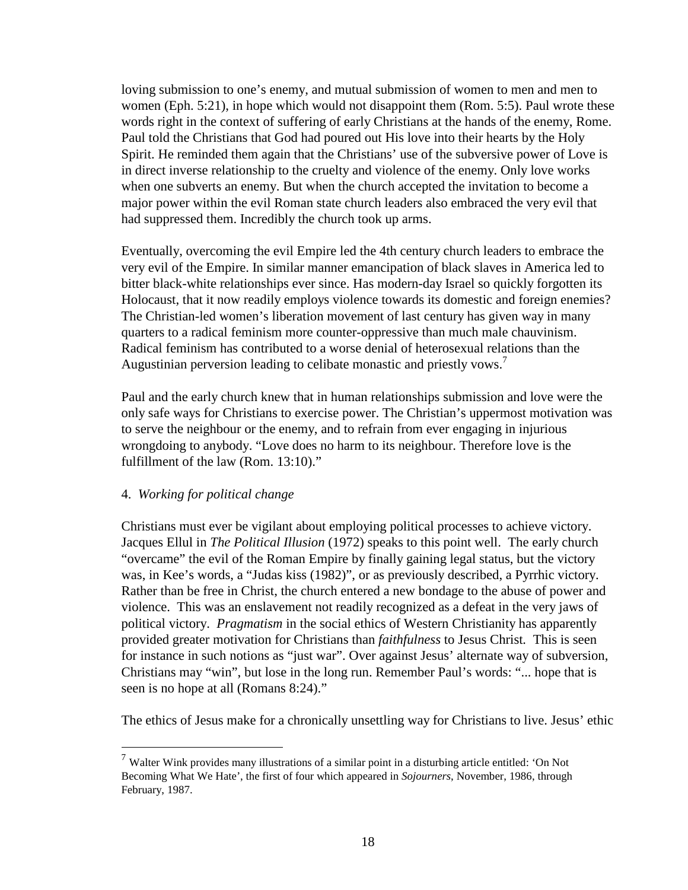loving submission to one's enemy, and mutual submission of women to men and men to women (Eph. 5:21), in hope which would not disappoint them (Rom. 5:5). Paul wrote these words right in the context of suffering of early Christians at the hands of the enemy, Rome. Paul told the Christians that God had poured out His love into their hearts by the Holy Spirit. He reminded them again that the Christians' use of the subversive power of Love is in direct inverse relationship to the cruelty and violence of the enemy. Only love works when one subverts an enemy. But when the church accepted the invitation to become a major power within the evil Roman state church leaders also embraced the very evil that had suppressed them. Incredibly the church took up arms.

Eventually, overcoming the evil Empire led the 4th century church leaders to embrace the very evil of the Empire. In similar manner emancipation of black slaves in America led to bitter black-white relationships ever since. Has modern-day Israel so quickly forgotten its Holocaust, that it now readily employs violence towards its domestic and foreign enemies? The Christian-led women's liberation movement of last century has given way in many quarters to a radical feminism more counter-oppressive than much male chauvinism. Radical feminism has contributed to a worse denial of heterosexual relations than the Augustinian perversion leading to celibate monastic and priestly vows.<sup>[7](#page-17-0)</sup>

Paul and the early church knew that in human relationships submission and love were the only safe ways for Christians to exercise power. The Christian's uppermost motivation was to serve the neighbour or the enemy, and to refrain from ever engaging in injurious wrongdoing to anybody. "Love does no harm to its neighbour. Therefore love is the fulfillment of the law (Rom. 13:10)."

## 4. *Working for political change*

Christians must ever be vigilant about employing political processes to achieve victory. Jacques Ellul in *The Political Illusion* (1972) speaks to this point well. The early church "overcame" the evil of the Roman Empire by finally gaining legal status, but the victory was, in Kee's words, a "Judas kiss (1982)", or as previously described, a Pyrrhic victory. Rather than be free in Christ, the church entered a new bondage to the abuse of power and violence. This was an enslavement not readily recognized as a defeat in the very jaws of political victory. *Pragmatism* in the social ethics of Western Christianity has apparently provided greater motivation for Christians than *faithfulness* to Jesus Christ*.* This is seen for instance in such notions as "just war". Over against Jesus' alternate way of subversion, Christians may "win", but lose in the long run. Remember Paul's words: "... hope that is seen is no hope at all (Romans 8:24)."

The ethics of Jesus make for a chronically unsettling way for Christians to live. Jesus' ethic

<span id="page-17-0"></span><sup>7</sup> Walter Wink provides many illustrations of a similar point in a disturbing article entitled: 'On Not Becoming What We Hate', the first of four which appeared in *Sojourners*, November, 1986, through February, 1987.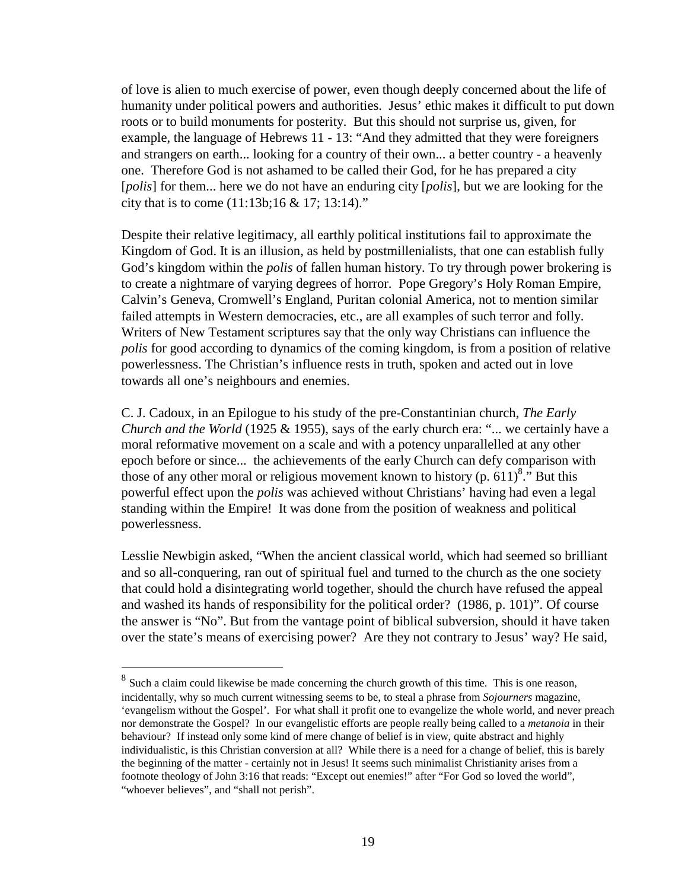of love is alien to much exercise of power, even though deeply concerned about the life of humanity under political powers and authorities. Jesus' ethic makes it difficult to put down roots or to build monuments for posterity. But this should not surprise us, given, for example, the language of Hebrews 11 - 13: "And they admitted that they were foreigners and strangers on earth... looking for a country of their own... a better country - a heavenly one. Therefore God is not ashamed to be called their God, for he has prepared a city [*polis*] for them... here we do not have an enduring city [*polis*], but we are looking for the city that is to come (11:13b;16 & 17; 13:14)."

Despite their relative legitimacy, all earthly political institutions fail to approximate the Kingdom of God. It is an illusion, as held by postmillenialists, that one can establish fully God's kingdom within the *polis* of fallen human history. To try through power brokering is to create a nightmare of varying degrees of horror. Pope Gregory's Holy Roman Empire, Calvin's Geneva, Cromwell's England, Puritan colonial America, not to mention similar failed attempts in Western democracies, etc., are all examples of such terror and folly. Writers of New Testament scriptures say that the only way Christians can influence the *polis* for good according to dynamics of the coming kingdom, is from a position of relative powerlessness. The Christian's influence rests in truth, spoken and acted out in love towards all one's neighbours and enemies.

C. J. Cadoux, in an Epilogue to his study of the pre-Constantinian church, *The Early Church and the World* (1925 & 1955), says of the early church era: "... we certainly have a moral reformative movement on a scale and with a potency unparallelled at any other epoch before or since... the achievements of the early Church can defy comparison with thoseof any other moral or religious movement known to history  $(p. 611)^8$  $(p. 611)^8$  $(p. 611)^8$ ." But this powerful effect upon the *polis* was achieved without Christians' having had even a legal standing within the Empire! It was done from the position of weakness and political powerlessness.

Lesslie Newbigin asked, "When the ancient classical world, which had seemed so brilliant and so all-conquering, ran out of spiritual fuel and turned to the church as the one society that could hold a disintegrating world together, should the church have refused the appeal and washed its hands of responsibility for the political order? (1986, p. 101)". Of course the answer is "No". But from the vantage point of biblical subversion, should it have taken over the state's means of exercising power? Are they not contrary to Jesus' way? He said,

<span id="page-18-0"></span> $8$  Such a claim could likewise be made concerning the church growth of this time. This is one reason, incidentally, why so much current witnessing seems to be, to steal a phrase from *Sojourners* magazine, 'evangelism without the Gospel'. For what shall it profit one to evangelize the whole world, and never preach nor demonstrate the Gospel? In our evangelistic efforts are people really being called to a *metanoia* in their behaviour? If instead only some kind of mere change of belief is in view, quite abstract and highly individualistic, is this Christian conversion at all? While there is a need for a change of belief, this is barely the beginning of the matter - certainly not in Jesus! It seems such minimalist Christianity arises from a footnote theology of John 3:16 that reads: "Except out enemies!" after "For God so loved the world", "whoever believes", and "shall not perish".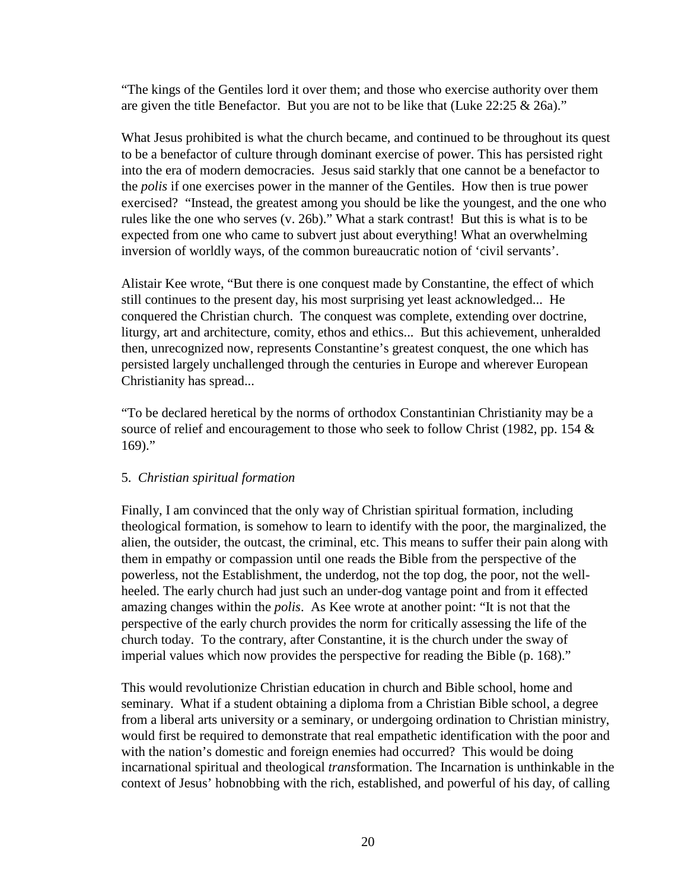"The kings of the Gentiles lord it over them; and those who exercise authority over them are given the title Benefactor. But you are not to be like that (Luke 22:25 & 26a)."

What Jesus prohibited is what the church became, and continued to be throughout its quest to be a benefactor of culture through dominant exercise of power. This has persisted right into the era of modern democracies. Jesus said starkly that one cannot be a benefactor to the *polis* if one exercises power in the manner of the Gentiles. How then is true power exercised? "Instead, the greatest among you should be like the youngest, and the one who rules like the one who serves (v. 26b)." What a stark contrast! But this is what is to be expected from one who came to subvert just about everything! What an overwhelming inversion of worldly ways, of the common bureaucratic notion of 'civil servants'.

Alistair Kee wrote, "But there is one conquest made by Constantine, the effect of which still continues to the present day, his most surprising yet least acknowledged... He conquered the Christian church. The conquest was complete, extending over doctrine, liturgy, art and architecture, comity, ethos and ethics... But this achievement, unheralded then, unrecognized now, represents Constantine's greatest conquest, the one which has persisted largely unchallenged through the centuries in Europe and wherever European Christianity has spread...

"To be declared heretical by the norms of orthodox Constantinian Christianity may be a source of relief and encouragement to those who seek to follow Christ (1982, pp. 154 &  $169$ ."

# 5. *Christian spiritual formation*

Finally, I am convinced that the only way of Christian spiritual formation, including theological formation, is somehow to learn to identify with the poor, the marginalized, the alien, the outsider, the outcast, the criminal, etc. This means to suffer their pain along with them in empathy or compassion until one reads the Bible from the perspective of the powerless, not the Establishment, the underdog, not the top dog, the poor, not the wellheeled. The early church had just such an under-dog vantage point and from it effected amazing changes within the *polis*. As Kee wrote at another point: "It is not that the perspective of the early church provides the norm for critically assessing the life of the church today. To the contrary, after Constantine, it is the church under the sway of imperial values which now provides the perspective for reading the Bible (p. 168)."

This would revolutionize Christian education in church and Bible school, home and seminary. What if a student obtaining a diploma from a Christian Bible school, a degree from a liberal arts university or a seminary, or undergoing ordination to Christian ministry, would first be required to demonstrate that real empathetic identification with the poor and with the nation's domestic and foreign enemies had occurred? This would be doing incarnational spiritual and theological *trans*formation. The Incarnation is unthinkable in the context of Jesus' hobnobbing with the rich, established, and powerful of his day, of calling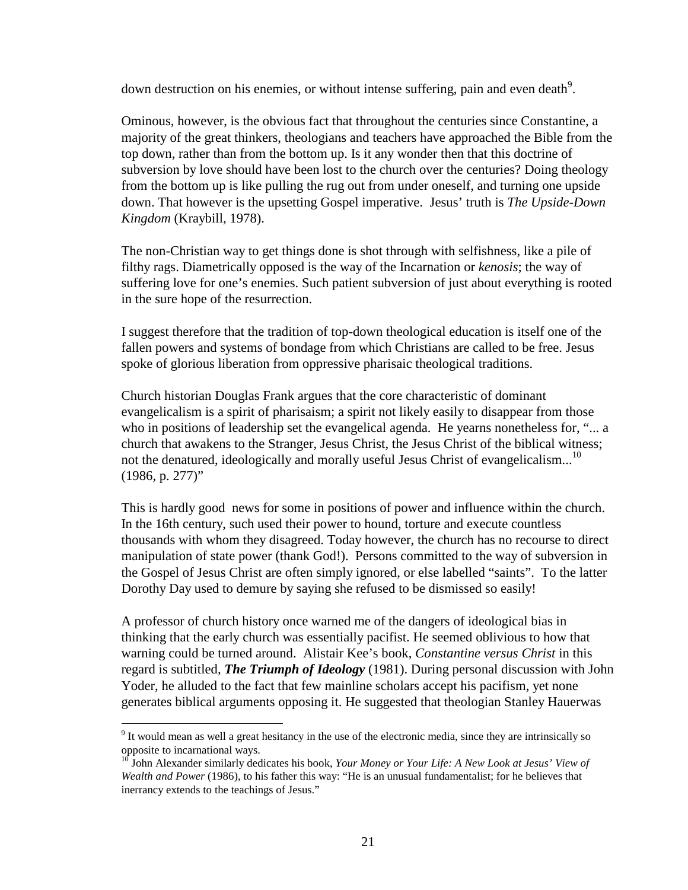downdestruction on his enemies, or without intense suffering, pain and even death<sup>9</sup>.

Ominous, however, is the obvious fact that throughout the centuries since Constantine, a majority of the great thinkers, theologians and teachers have approached the Bible from the top down, rather than from the bottom up. Is it any wonder then that this doctrine of subversion by love should have been lost to the church over the centuries? Doing theology from the bottom up is like pulling the rug out from under oneself, and turning one upside down. That however is the upsetting Gospel imperative. Jesus' truth is *The Upside-Down Kingdom* (Kraybill, 1978).

The non-Christian way to get things done is shot through with selfishness, like a pile of filthy rags. Diametrically opposed is the way of the Incarnation or *kenosis*; the way of suffering love for one's enemies. Such patient subversion of just about everything is rooted in the sure hope of the resurrection.

I suggest therefore that the tradition of top-down theological education is itself one of the fallen powers and systems of bondage from which Christians are called to be free. Jesus spoke of glorious liberation from oppressive pharisaic theological traditions.

Church historian Douglas Frank argues that the core characteristic of dominant evangelicalism is a spirit of pharisaism; a spirit not likely easily to disappear from those who in positions of leadership set the evangelical agenda. He yearns nonetheless for, "... a church that awakens to the Stranger, Jesus Christ, the Jesus Christ of the biblical witness; not the denatured, ideologically and morally useful Jesus Christ of evangelicalism...<sup>[10](#page-20-1)</sup> (1986, p. 277)"

This is hardly good news for some in positions of power and influence within the church. In the 16th century, such used their power to hound, torture and execute countless thousands with whom they disagreed. Today however, the church has no recourse to direct manipulation of state power (thank God!). Persons committed to the way of subversion in the Gospel of Jesus Christ are often simply ignored, or else labelled "saints". To the latter Dorothy Day used to demure by saying she refused to be dismissed so easily!

A professor of church history once warned me of the dangers of ideological bias in thinking that the early church was essentially pacifist. He seemed oblivious to how that warning could be turned around. Alistair Kee's book, *Constantine versus Christ* in this regard is subtitled*, The Triumph of Ideology* (1981). During personal discussion with John Yoder, he alluded to the fact that few mainline scholars accept his pacifism, yet none generates biblical arguments opposing it. He suggested that theologian Stanley Hauerwas

<span id="page-20-0"></span><sup>&</sup>lt;sup>9</sup> It would mean as well a great hesitancy in the use of the electronic media, since they are intrinsically so opposite to incarnational ways.

<span id="page-20-1"></span><sup>10</sup> John Alexander similarly dedicates his book, *Your Money or Your Life: A New Look at Jesus' View of Wealth and Power* (1986), to his father this way: "He is an unusual fundamentalist; for he believes that inerrancy extends to the teachings of Jesus."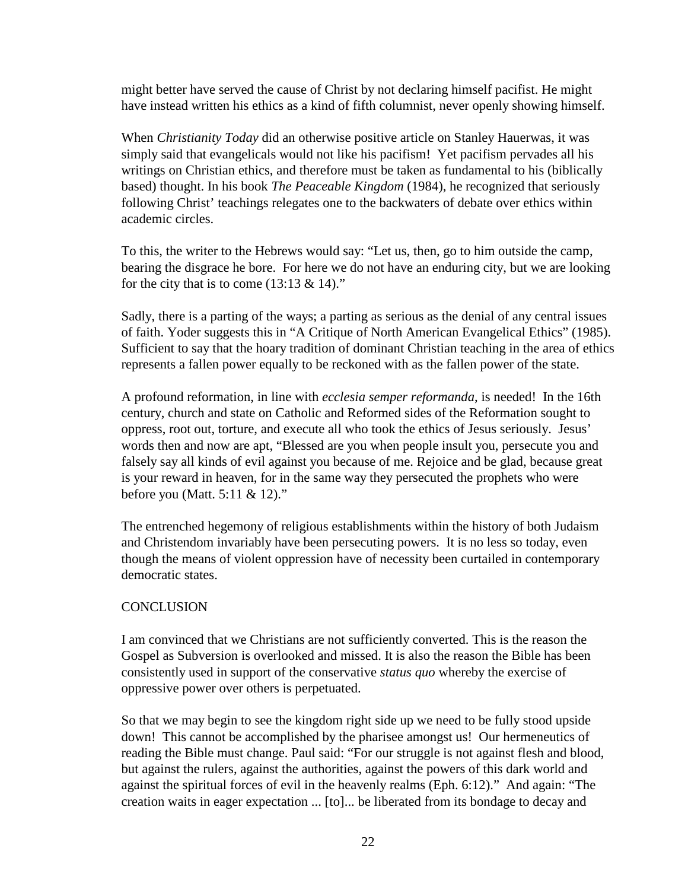might better have served the cause of Christ by not declaring himself pacifist. He might have instead written his ethics as a kind of fifth columnist, never openly showing himself.

When *Christianity Today* did an otherwise positive article on Stanley Hauerwas, it was simply said that evangelicals would not like his pacifism! Yet pacifism pervades all his writings on Christian ethics, and therefore must be taken as fundamental to his (biblically based) thought. In his book *The Peaceable Kingdom* (1984), he recognized that seriously following Christ' teachings relegates one to the backwaters of debate over ethics within academic circles.

To this, the writer to the Hebrews would say: "Let us, then, go to him outside the camp, bearing the disgrace he bore. For here we do not have an enduring city, but we are looking for the city that is to come  $(13:13 \& 14)$ ."

Sadly, there is a parting of the ways; a parting as serious as the denial of any central issues of faith. Yoder suggests this in "A Critique of North American Evangelical Ethics" (1985). Sufficient to say that the hoary tradition of dominant Christian teaching in the area of ethics represents a fallen power equally to be reckoned with as the fallen power of the state.

A profound reformation, in line with *ecclesia semper reformanda*, is needed! In the 16th century, church and state on Catholic and Reformed sides of the Reformation sought to oppress, root out, torture, and execute all who took the ethics of Jesus seriously. Jesus' words then and now are apt, "Blessed are you when people insult you, persecute you and falsely say all kinds of evil against you because of me. Rejoice and be glad, because great is your reward in heaven, for in the same way they persecuted the prophets who were before you (Matt. 5:11 & 12)."

The entrenched hegemony of religious establishments within the history of both Judaism and Christendom invariably have been persecuting powers. It is no less so today, even though the means of violent oppression have of necessity been curtailed in contemporary democratic states.

## **CONCLUSION**

I am convinced that we Christians are not sufficiently converted. This is the reason the Gospel as Subversion is overlooked and missed. It is also the reason the Bible has been consistently used in support of the conservative *status quo* whereby the exercise of oppressive power over others is perpetuated.

So that we may begin to see the kingdom right side up we need to be fully stood upside down! This cannot be accomplished by the pharisee amongst us! Our hermeneutics of reading the Bible must change. Paul said: "For our struggle is not against flesh and blood, but against the rulers, against the authorities, against the powers of this dark world and against the spiritual forces of evil in the heavenly realms (Eph. 6:12)." And again: "The creation waits in eager expectation ... [to]... be liberated from its bondage to decay and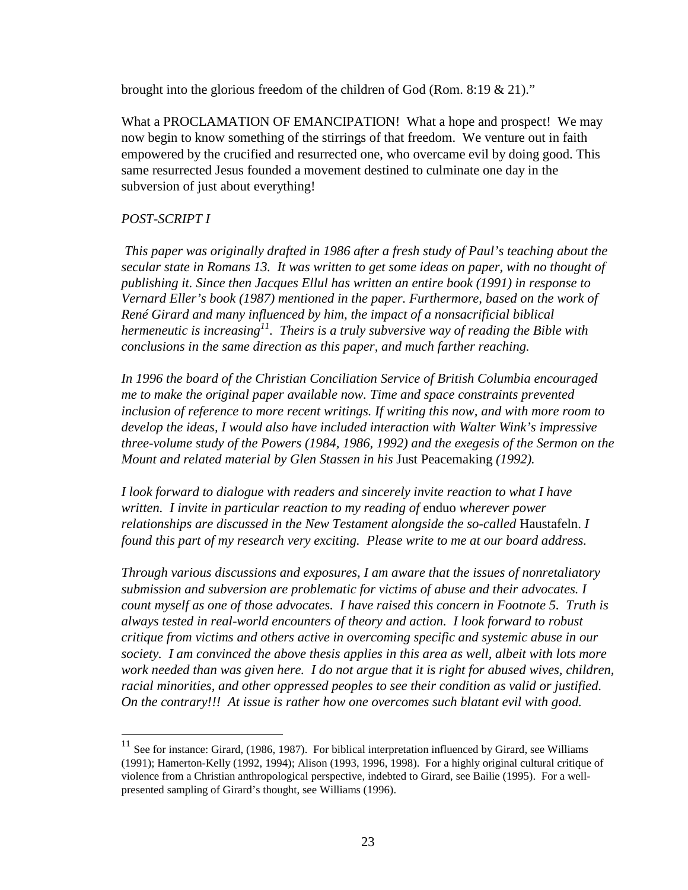brought into the glorious freedom of the children of God (Rom. 8:19 & 21)."

What a PROCLAMATION OF EMANCIPATION! What a hope and prospect! We may now begin to know something of the stirrings of that freedom. We venture out in faith empowered by the crucified and resurrected one, who overcame evil by doing good. This same resurrected Jesus founded a movement destined to culminate one day in the subversion of just about everything!

# *POST-SCRIPT I*

*This paper was originally drafted in 1986 after a fresh study of Paul's teaching about the secular state in Romans 13. It was written to get some ideas on paper, with no thought of publishing it. Since then Jacques Ellul has written an entire book (1991) in response to Vernard Eller's book (1987) mentioned in the paper. Furthermore, based on the work of René Girard and many influenced by him, the impact of a nonsacrificial biblical hermeneutic is increasing[11](#page-22-0). Theirs is a truly subversive way of reading the Bible with conclusions in the same direction as this paper, and much farther reaching.*

*In 1996 the board of the Christian Conciliation Service of British Columbia encouraged me to make the original paper available now. Time and space constraints prevented inclusion of reference to more recent writings. If writing this now, and with more room to develop the ideas, I would also have included interaction with Walter Wink's impressive three-volume study of the Powers (1984, 1986, 1992) and the exegesis of the Sermon on the Mount and related material by Glen Stassen in his* Just Peacemaking *(1992).*

*I look forward to dialogue with readers and sincerely invite reaction to what I have written. I invite in particular reaction to my reading of* enduo *wherever power relationships are discussed in the New Testament alongside the so-called* Haustafeln. *I found this part of my research very exciting. Please write to me at our board address.*

*Through various discussions and exposures, I am aware that the issues of nonretaliatory submission and subversion are problematic for victims of abuse and their advocates. I count myself as one of those advocates. I have raised this concern in Footnote 5. Truth is always tested in real-world encounters of theory and action. I look forward to robust critique from victims and others active in overcoming specific and systemic abuse in our society. I am convinced the above thesis applies in this area as well, albeit with lots more work needed than was given here. I do not argue that it is right for abused wives, children, racial minorities, and other oppressed peoples to see their condition as valid or justified. On the contrary!!! At issue is rather how one overcomes such blatant evil with good.*

<span id="page-22-0"></span> $11$  See for instance: Girard, (1986, 1987). For biblical interpretation influenced by Girard, see Williams (1991); Hamerton-Kelly (1992, 1994); Alison (1993, 1996, 1998). For a highly original cultural critique of violence from a Christian anthropological perspective, indebted to Girard, see Bailie (1995). For a wellpresented sampling of Girard's thought, see Williams (1996).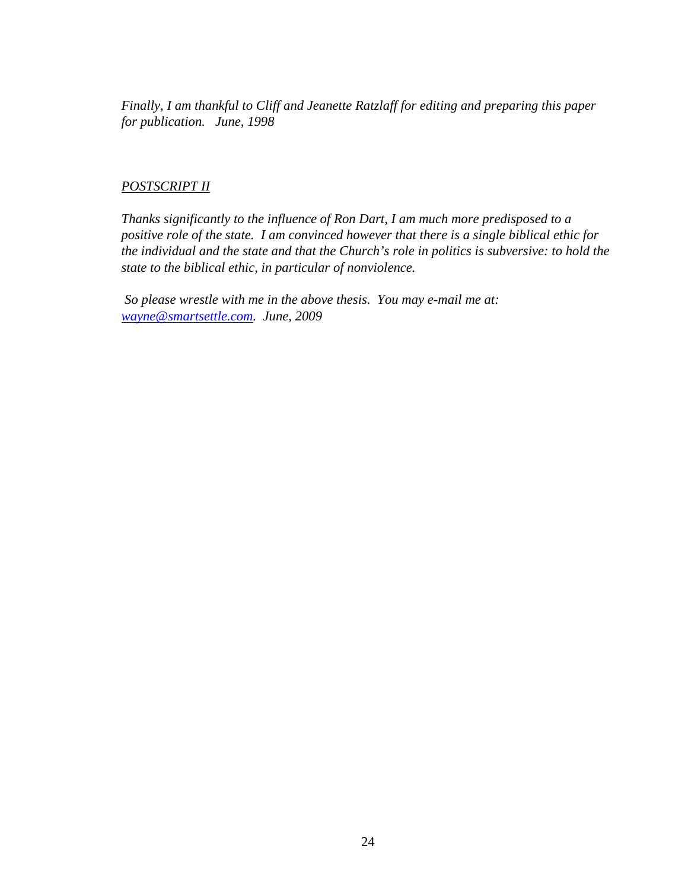*Finally, I am thankful to Cliff and Jeanette Ratzlaff for editing and preparing this paper for publication. June, 1998*

## *POSTSCRIPT II*

*Thanks significantly to the influence of Ron Dart, I am much more predisposed to a positive role of the state. I am convinced however that there is a single biblical ethic for the individual and the state and that the Church's role in politics is subversive: to hold the state to the biblical ethic, in particular of nonviolence.*

*So please wrestle with me in the above thesis. You may e-mail me at: [wayne@smartsettle.com](mailto:wayne@smartsettle.com). June, 2009*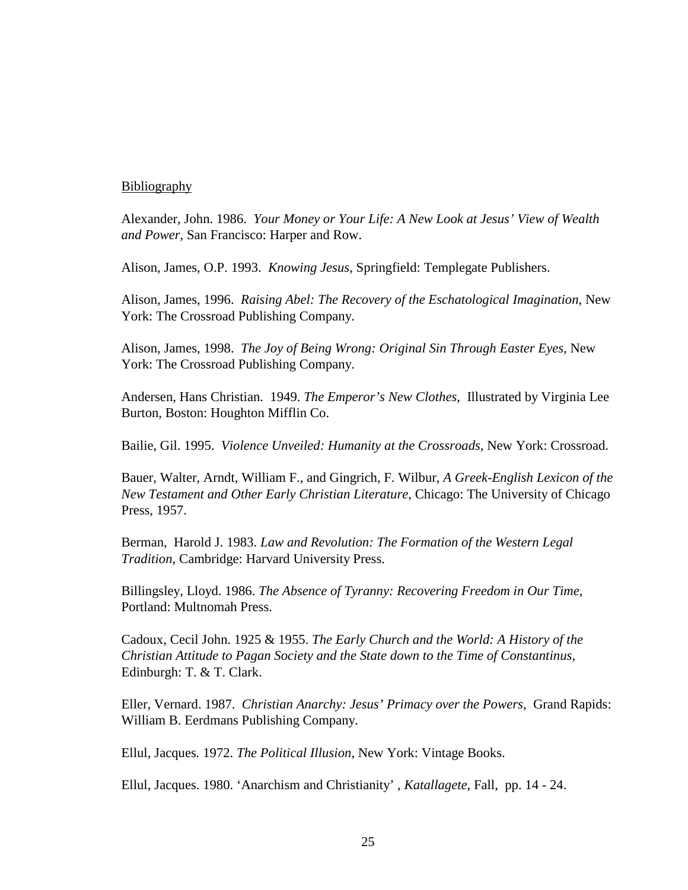#### **Bibliography**

Alexander, John. 1986. *Your Money or Your Life: A New Look at Jesus' View of Wealth and Power*, San Francisco: Harper and Row.

Alison, James, O.P. 1993. *Knowing Jesus,* Springfield: Templegate Publishers.

Alison, James, 1996. *Raising Abel: The Recovery of the Eschatological Imagination*, New York: The Crossroad Publishing Company.

Alison, James, 1998. *The Joy of Being Wrong: Original Sin Through Easter Eyes,* New York: The Crossroad Publishing Company.

Andersen, Hans Christian. 1949. *The Emperor's New Clothes*, Illustrated by Virginia Lee Burton, Boston: Houghton Mifflin Co.

Bailie, Gil. 1995. *Violence Unveiled: Humanity at the Crossroads,* New York: Crossroad.

Bauer, Walter, Arndt, William F., and Gingrich, F. Wilbur, *A Greek-English Lexicon of the New Testament and Other Early Christian Literature*, Chicago: The University of Chicago Press, 1957.

Berman, Harold J. 1983. *Law and Revolution: The Formation of the Western Legal Tradition*, Cambridge: Harvard University Press.

Billingsley, Lloyd. 1986. *The Absence of Tyranny: Recovering Freedom in Our Time*, Portland: Multnomah Press.

Cadoux, Cecil John. 1925 & 1955. *The Early Church and the World: A History of the Christian Attitude to Pagan Society and the State down to the Time of Constantinus*, Edinburgh: T. & T. Clark.

Eller, Vernard. 1987. *Christian Anarchy: Jesus' Primacy over the Powers*, Grand Rapids: William B. Eerdmans Publishing Company.

Ellul, Jacques*.* 1972. *The Political Illusion*, New York: Vintage Books.

Ellul, Jacques. 1980. 'Anarchism and Christianity' , *Katallagete*, Fall, pp. 14 - 24.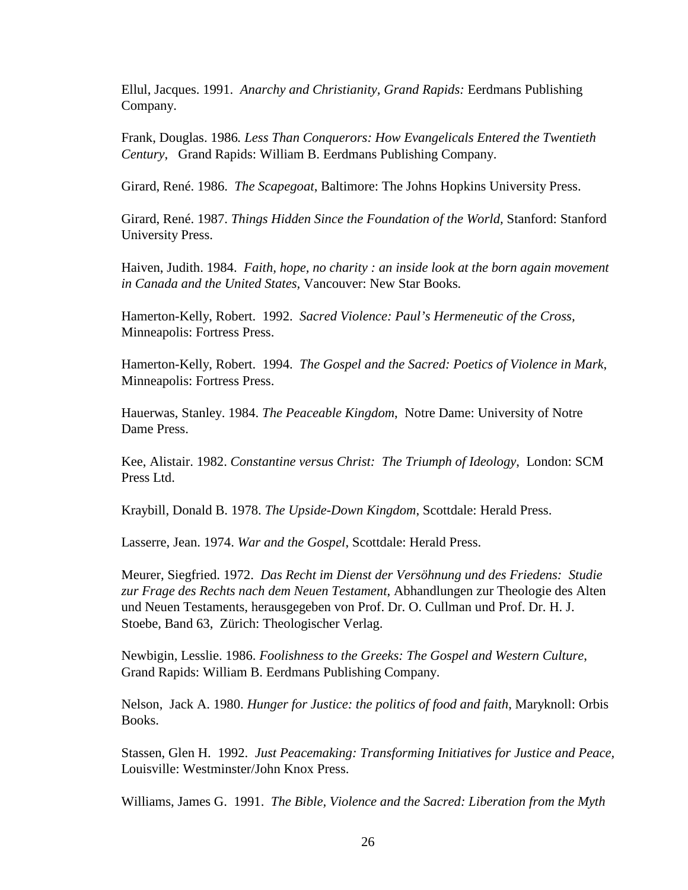Ellul, Jacques. 1991. *Anarchy and Christianity, Grand Rapids:* Eerdmans Publishing Company.

Frank, Douglas. 1986*. Less Than Conquerors: How Evangelicals Entered the Twentieth Century*, Grand Rapids: William B. Eerdmans Publishing Company.

Girard, René. 1986. *The Scapegoat*, Baltimore: The Johns Hopkins University Press.

Girard, René. 1987. *Things Hidden Since the Foundation of the World,* Stanford: Stanford University Press.

Haiven, Judith. 1984. *Faith, hope, no charity : an inside look at the born again movement in Canada and the United States,* Vancouver: New Star Books*.*

Hamerton-Kelly, Robert. 1992. *Sacred Violence: Paul's Hermeneutic of the Cross,* Minneapolis: Fortress Press.

Hamerton-Kelly, Robert. 1994. *The Gospel and the Sacred: Poetics of Violence in Mark*, Minneapolis: Fortress Press.

Hauerwas, Stanley. 1984. *The Peaceable Kingdom*, Notre Dame: University of Notre Dame Press.

Kee, Alistair. 1982. *Constantine versus Christ: The Triumph of Ideology*, London: SCM Press Ltd.

Kraybill, Donald B. 1978. *The Upside-Down Kingdom*, Scottdale: Herald Press.

Lasserre, Jean. 1974. *War and the Gospel*, Scottdale: Herald Press.

Meurer, Siegfried. 1972. *Das Recht im Dienst der Versöhnung und des Friedens: Studie zur Frage des Rechts nach dem Neuen Testament*, Abhandlungen zur Theologie des Alten und Neuen Testaments, herausgegeben von Prof. Dr. O. Cullman und Prof. Dr. H. J. Stoebe, Band 63, Zürich: Theologischer Verlag.

Newbigin, Lesslie. 1986. *Foolishness to the Greeks: The Gospel and Western Culture*, Grand Rapids: William B. Eerdmans Publishing Company.

Nelson, Jack A. 1980. *Hunger for Justice: the politics of food and faith*, Maryknoll: Orbis Books.

Stassen, Glen H. 1992. *Just Peacemaking: Transforming Initiatives for Justice and Peace,* Louisville: Westminster/John Knox Press.

Williams, James G. 1991. *The Bible, Violence and the Sacred: Liberation from the Myth*